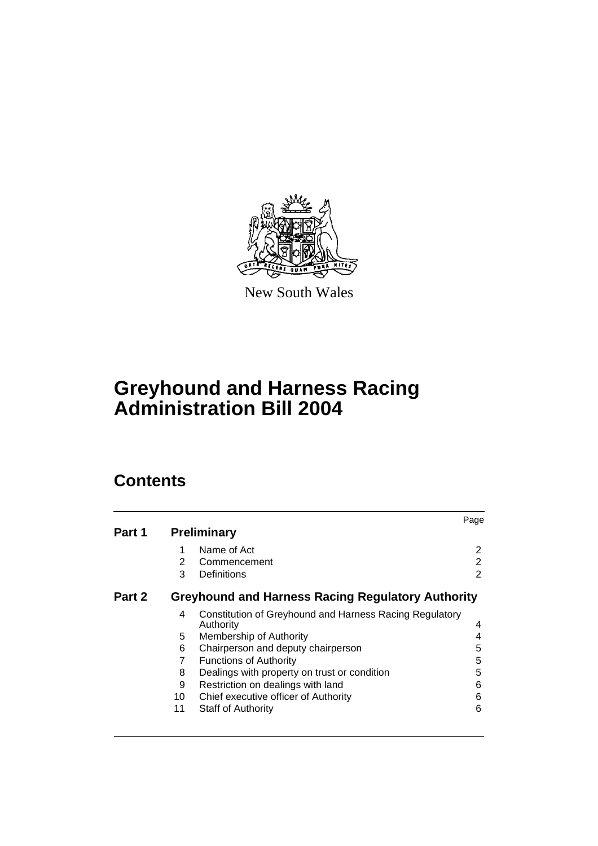

New South Wales

# **Greyhound and Harness Racing Administration Bill 2004**

# **Contents**

|        |    |                                                                      | Page |
|--------|----|----------------------------------------------------------------------|------|
| Part 1 |    | <b>Preliminary</b>                                                   |      |
|        | 1  | Name of Act                                                          | 2    |
|        | 2  | Commencement                                                         | 2    |
|        | 3  | Definitions                                                          | 2    |
| Part 2 |    | <b>Greyhound and Harness Racing Regulatory Authority</b>             |      |
|        | 4  | Constitution of Greyhound and Harness Racing Regulatory<br>Authority | 4    |
|        | 5  | Membership of Authority                                              | 4    |
|        | 6  | Chairperson and deputy chairperson                                   | 5    |
|        | 7  | <b>Functions of Authority</b>                                        | 5    |
|        | 8  | Dealings with property on trust or condition                         | 5    |
|        | 9  | Restriction on dealings with land                                    | 6    |
|        | 10 | Chief executive officer of Authority                                 | 6    |
|        | 11 | <b>Staff of Authority</b>                                            | 6    |
|        |    |                                                                      |      |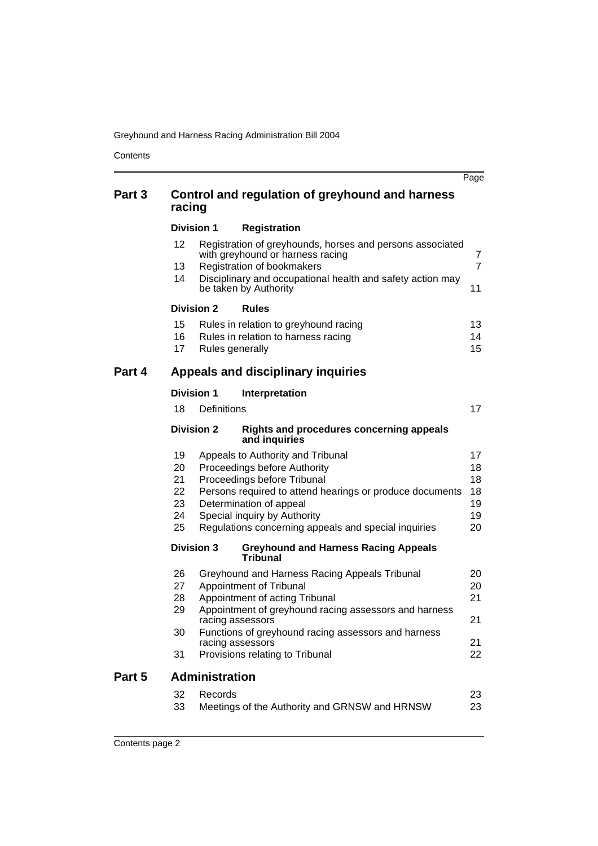**Contents** 

|        |                                        |                       |                                                                                                                                                                                                                                                                                 | Page                                   |
|--------|----------------------------------------|-----------------------|---------------------------------------------------------------------------------------------------------------------------------------------------------------------------------------------------------------------------------------------------------------------------------|----------------------------------------|
| Part 3 | racing                                 |                       | Control and regulation of greyhound and harness                                                                                                                                                                                                                                 |                                        |
|        | <b>Division 1</b>                      |                       | <b>Registration</b>                                                                                                                                                                                                                                                             |                                        |
|        | 12 <sup>2</sup><br>13<br>14            |                       | Registration of greyhounds, horses and persons associated<br>with greyhound or harness racing<br>Registration of bookmakers<br>Disciplinary and occupational health and safety action may<br>be taken by Authority                                                              | 7<br>$\overline{7}$<br>11              |
|        | <b>Division 2</b>                      |                       | <b>Rules</b>                                                                                                                                                                                                                                                                    |                                        |
|        | 15<br>16<br>17                         | Rules generally       | Rules in relation to greyhound racing<br>Rules in relation to harness racing                                                                                                                                                                                                    | 13<br>14<br>15                         |
| Part 4 |                                        |                       | <b>Appeals and disciplinary inquiries</b>                                                                                                                                                                                                                                       |                                        |
|        | <b>Division 1</b>                      |                       | Interpretation                                                                                                                                                                                                                                                                  |                                        |
|        | 18                                     | Definitions           |                                                                                                                                                                                                                                                                                 | 17                                     |
|        | <b>Division 2</b>                      |                       | Rights and procedures concerning appeals<br>and inquiries                                                                                                                                                                                                                       |                                        |
|        | 19<br>20<br>21<br>22<br>23<br>24<br>25 |                       | Appeals to Authority and Tribunal<br>Proceedings before Authority<br>Proceedings before Tribunal<br>Persons required to attend hearings or produce documents<br>Determination of appeal<br>Special inquiry by Authority<br>Regulations concerning appeals and special inquiries | 17<br>18<br>18<br>18<br>19<br>19<br>20 |
|        | <b>Division 3</b>                      |                       | <b>Greyhound and Harness Racing Appeals</b><br><b>Tribunal</b>                                                                                                                                                                                                                  |                                        |
|        | 26<br>27<br>28                         |                       | Greyhound and Harness Racing Appeals Tribunal<br>Appointment of Tribunal<br>Appointment of acting Tribunal                                                                                                                                                                      | 20<br>20<br>21                         |
|        | 29                                     |                       | Appointment of greyhound racing assessors and harness<br>racing assessors                                                                                                                                                                                                       | 21                                     |
|        | 30                                     |                       | Functions of greyhound racing assessors and harness<br>racing assessors                                                                                                                                                                                                         | 21                                     |
|        | 31                                     |                       | Provisions relating to Tribunal                                                                                                                                                                                                                                                 | 22                                     |
| Part 5 |                                        | <b>Administration</b> |                                                                                                                                                                                                                                                                                 |                                        |
|        | 32<br>33                               | Records               | Meetings of the Authority and GRNSW and HRNSW                                                                                                                                                                                                                                   | 23<br>23                               |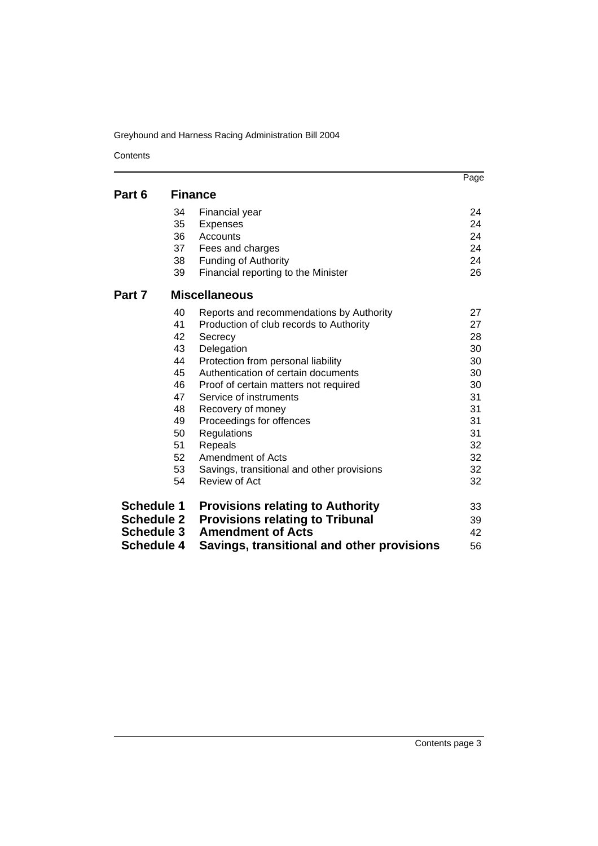**Contents** 

|                   |    |                                            | Page |
|-------------------|----|--------------------------------------------|------|
| Part 6            |    | <b>Finance</b>                             |      |
|                   | 34 | Financial year                             | 24   |
|                   | 35 | <b>Expenses</b>                            | 24   |
|                   | 36 | Accounts                                   | 24   |
|                   | 37 | Fees and charges                           | 24   |
|                   | 38 | <b>Funding of Authority</b>                | 24   |
|                   | 39 | Financial reporting to the Minister        | 26   |
| Part 7            |    | <b>Miscellaneous</b>                       |      |
|                   | 40 | Reports and recommendations by Authority   | 27   |
|                   | 41 | Production of club records to Authority    | 27   |
|                   | 42 | Secrecy                                    | 28   |
|                   | 43 | Delegation                                 | 30   |
|                   | 44 | Protection from personal liability         | 30   |
|                   | 45 | Authentication of certain documents        | 30   |
|                   | 46 | Proof of certain matters not required      | 30   |
|                   | 47 | Service of instruments                     | 31   |
|                   | 48 | Recovery of money                          | 31   |
|                   | 49 | Proceedings for offences                   | 31   |
|                   | 50 | Regulations                                | 31   |
|                   | 51 | Repeals                                    | 32   |
|                   | 52 | <b>Amendment of Acts</b>                   | 32   |
|                   | 53 | Savings, transitional and other provisions | 32   |
|                   | 54 | Review of Act                              | 32   |
| <b>Schedule 1</b> |    | <b>Provisions relating to Authority</b>    | 33   |
| <b>Schedule 2</b> |    | <b>Provisions relating to Tribunal</b>     | 39   |
| <b>Schedule 3</b> |    | <b>Amendment of Acts</b>                   | 42   |
| <b>Schedule 4</b> |    | Savings, transitional and other provisions | 56   |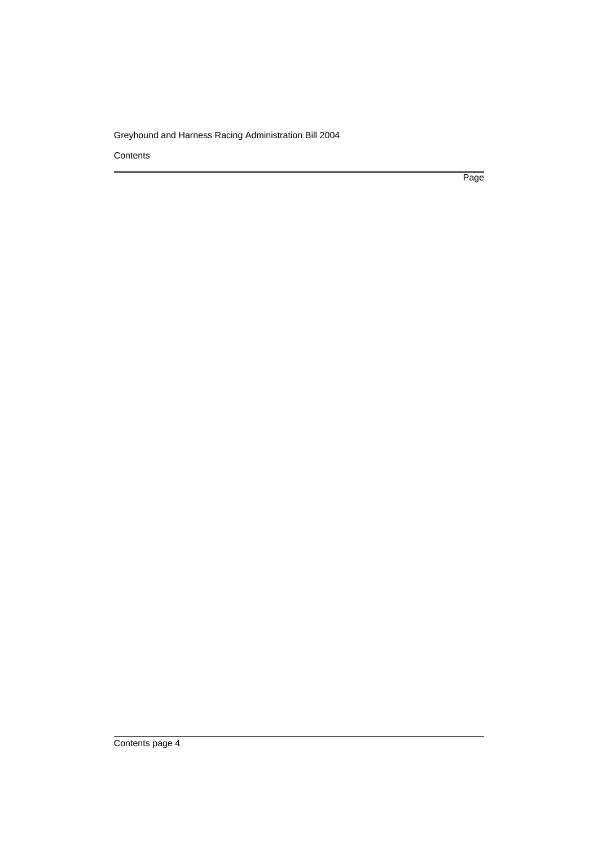**Contents** 

Page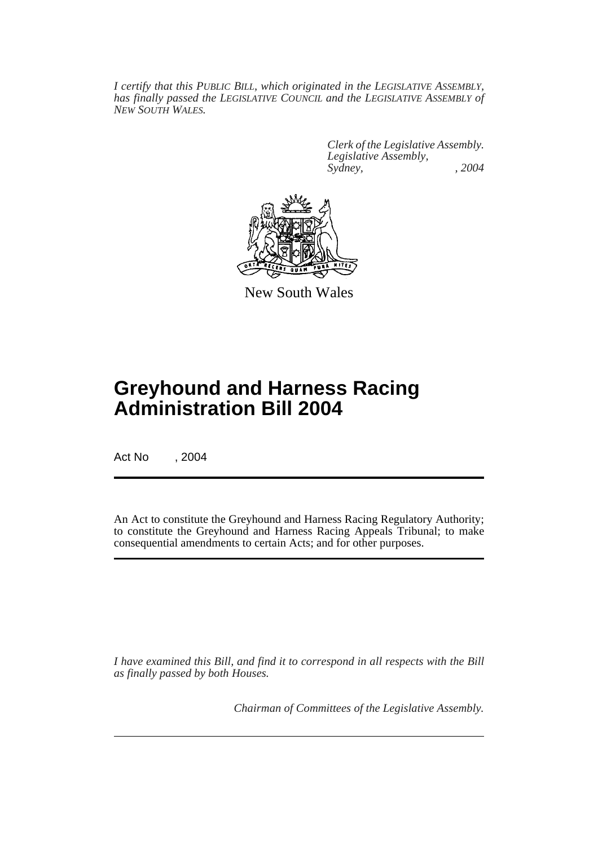*I certify that this PUBLIC BILL, which originated in the LEGISLATIVE ASSEMBLY, has finally passed the LEGISLATIVE COUNCIL and the LEGISLATIVE ASSEMBLY of NEW SOUTH WALES.*

> *Clerk of the Legislative Assembly. Legislative Assembly, Sydney, , 2004*



New South Wales

# **Greyhound and Harness Racing Administration Bill 2004**

Act No , 2004

An Act to constitute the Greyhound and Harness Racing Regulatory Authority; to constitute the Greyhound and Harness Racing Appeals Tribunal; to make consequential amendments to certain Acts; and for other purposes.

*I have examined this Bill, and find it to correspond in all respects with the Bill as finally passed by both Houses.*

*Chairman of Committees of the Legislative Assembly.*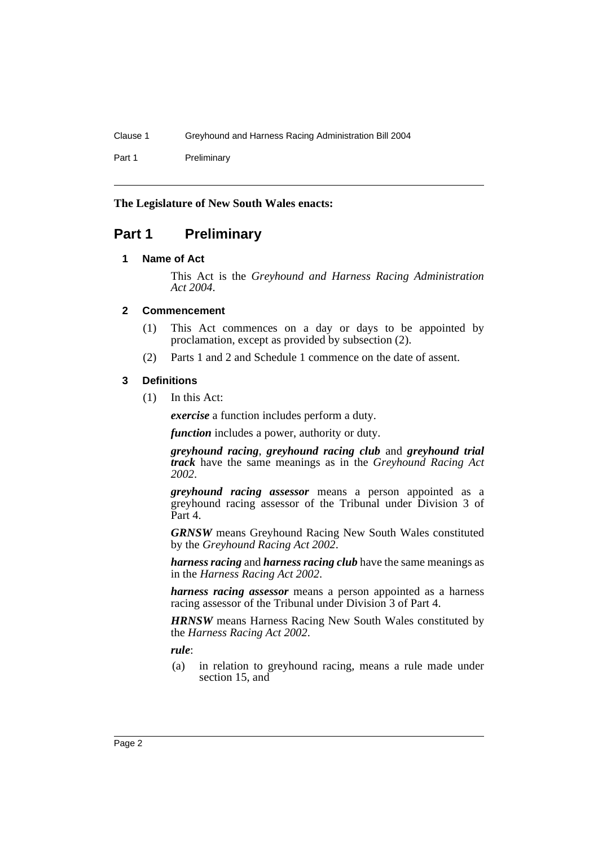Part 1 Preliminary

### **The Legislature of New South Wales enacts:**

### **Part 1 Preliminary**

### **1 Name of Act**

This Act is the *Greyhound and Harness Racing Administration Act 2004*.

### **2 Commencement**

- (1) This Act commences on a day or days to be appointed by proclamation, except as provided by subsection (2).
- (2) Parts 1 and 2 and Schedule 1 commence on the date of assent.

#### **3 Definitions**

(1) In this Act:

*exercise* a function includes perform a duty.

*function* includes a power, authority or duty.

*greyhound racing*, *greyhound racing club* and *greyhound trial track* have the same meanings as in the *Greyhound Racing Act 2002*.

*greyhound racing assessor* means a person appointed as a greyhound racing assessor of the Tribunal under Division 3 of Part 4.

*GRNSW* means Greyhound Racing New South Wales constituted by the *Greyhound Racing Act 2002*.

*harness racing* and *harness racing club* have the same meanings as in the *Harness Racing Act 2002*.

*harness racing assessor* means a person appointed as a harness racing assessor of the Tribunal under Division 3 of Part 4.

*HRNSW* means Harness Racing New South Wales constituted by the *Harness Racing Act 2002*.

*rule*:

(a) in relation to greyhound racing, means a rule made under section 15, and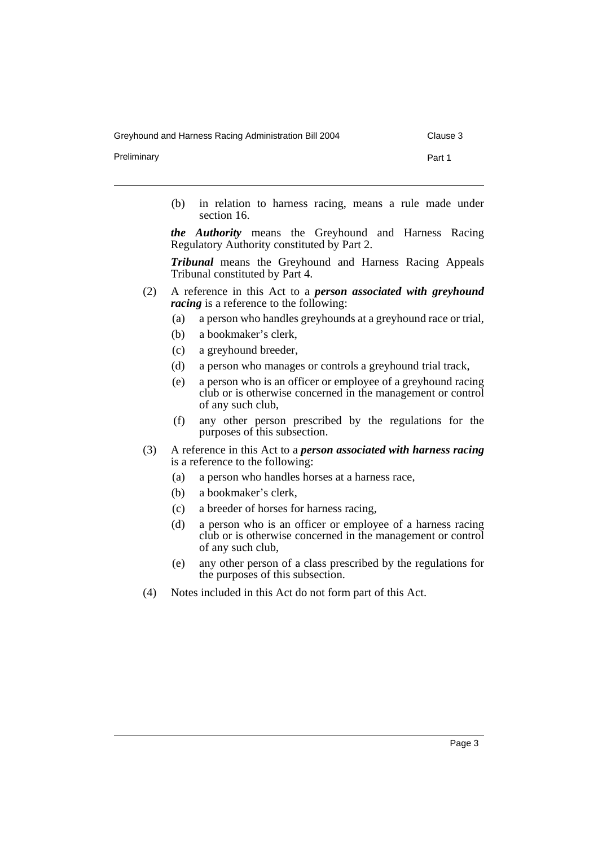Greyhound and Harness Racing Administration Bill 2004 Clause 3

Preliminary **Preliminary** Part 1

- 
- (b) in relation to harness racing, means a rule made under section 16.

*the Authority* means the Greyhound and Harness Racing Regulatory Authority constituted by Part 2.

*Tribunal* means the Greyhound and Harness Racing Appeals Tribunal constituted by Part 4.

- (2) A reference in this Act to a *person associated with greyhound racing* is a reference to the following:
	- (a) a person who handles greyhounds at a greyhound race or trial,
	- (b) a bookmaker's clerk,
	- (c) a greyhound breeder,
	- (d) a person who manages or controls a greyhound trial track,
	- (e) a person who is an officer or employee of a greyhound racing club or is otherwise concerned in the management or control of any such club,
	- (f) any other person prescribed by the regulations for the purposes of this subsection.
- (3) A reference in this Act to a *person associated with harness racing* is a reference to the following:
	- (a) a person who handles horses at a harness race,
	- (b) a bookmaker's clerk,
	- (c) a breeder of horses for harness racing,
	- (d) a person who is an officer or employee of a harness racing club or is otherwise concerned in the management or control of any such club,
	- (e) any other person of a class prescribed by the regulations for the purposes of this subsection.
- (4) Notes included in this Act do not form part of this Act.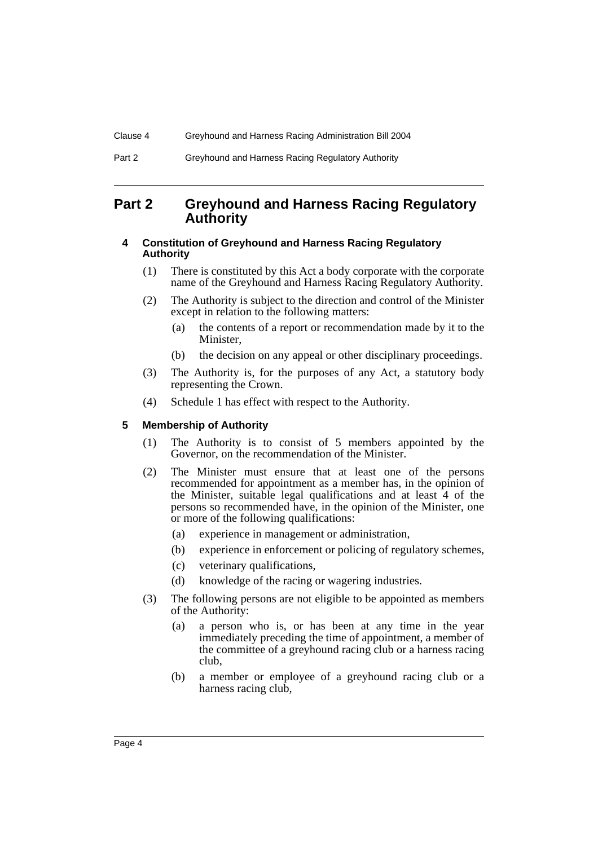### **Part 2 Greyhound and Harness Racing Regulatory Authority**

### **4 Constitution of Greyhound and Harness Racing Regulatory Authority**

- (1) There is constituted by this Act a body corporate with the corporate name of the Greyhound and Harness Racing Regulatory Authority.
- (2) The Authority is subject to the direction and control of the Minister except in relation to the following matters:
	- (a) the contents of a report or recommendation made by it to the Minister,
	- (b) the decision on any appeal or other disciplinary proceedings.
- (3) The Authority is, for the purposes of any Act, a statutory body representing the Crown.
- (4) Schedule 1 has effect with respect to the Authority.

#### **5 Membership of Authority**

- (1) The Authority is to consist of 5 members appointed by the Governor, on the recommendation of the Minister.
- (2) The Minister must ensure that at least one of the persons recommended for appointment as a member has, in the opinion of the Minister, suitable legal qualifications and at least 4 of the persons so recommended have, in the opinion of the Minister, one or more of the following qualifications:
	- (a) experience in management or administration,
	- (b) experience in enforcement or policing of regulatory schemes,
	- (c) veterinary qualifications,
	- (d) knowledge of the racing or wagering industries.
- (3) The following persons are not eligible to be appointed as members of the Authority:
	- (a) a person who is, or has been at any time in the year immediately preceding the time of appointment, a member of the committee of a greyhound racing club or a harness racing club,
	- (b) a member or employee of a greyhound racing club or a harness racing club,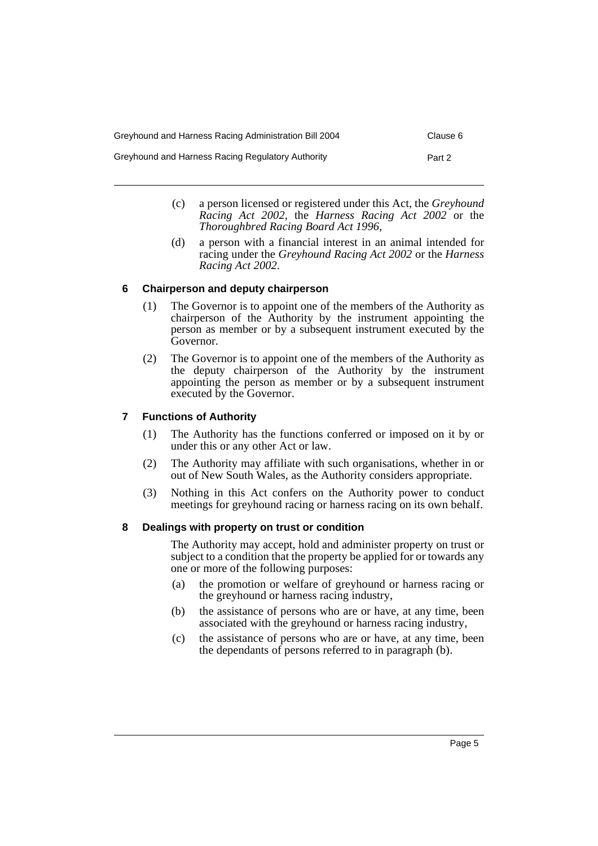| Greyhound and Harness Racing Administration Bill 2004 | Clause 6 |
|-------------------------------------------------------|----------|
| Greyhound and Harness Racing Regulatory Authority     | Part 2   |

- (c) a person licensed or registered under this Act, the *Greyhound Racing Act 2002*, the *Harness Racing Act 2002* or the *Thoroughbred Racing Board Act 1996*,
- (d) a person with a financial interest in an animal intended for racing under the *Greyhound Racing Act 2002* or the *Harness Racing Act 2002*.

### **6 Chairperson and deputy chairperson**

- (1) The Governor is to appoint one of the members of the Authority as chairperson of the Authority by the instrument appointing the person as member or by a subsequent instrument executed by the Governor.
- (2) The Governor is to appoint one of the members of the Authority as the deputy chairperson of the Authority by the instrument appointing the person as member or by a subsequent instrument executed by the Governor.

### **7 Functions of Authority**

- (1) The Authority has the functions conferred or imposed on it by or under this or any other Act or law.
- (2) The Authority may affiliate with such organisations, whether in or out of New South Wales, as the Authority considers appropriate.
- (3) Nothing in this Act confers on the Authority power to conduct meetings for greyhound racing or harness racing on its own behalf.

### **8 Dealings with property on trust or condition**

The Authority may accept, hold and administer property on trust or subject to a condition that the property be applied for or towards any one or more of the following purposes:

- (a) the promotion or welfare of greyhound or harness racing or the greyhound or harness racing industry,
- (b) the assistance of persons who are or have, at any time, been associated with the greyhound or harness racing industry,
- (c) the assistance of persons who are or have, at any time, been the dependants of persons referred to in paragraph (b).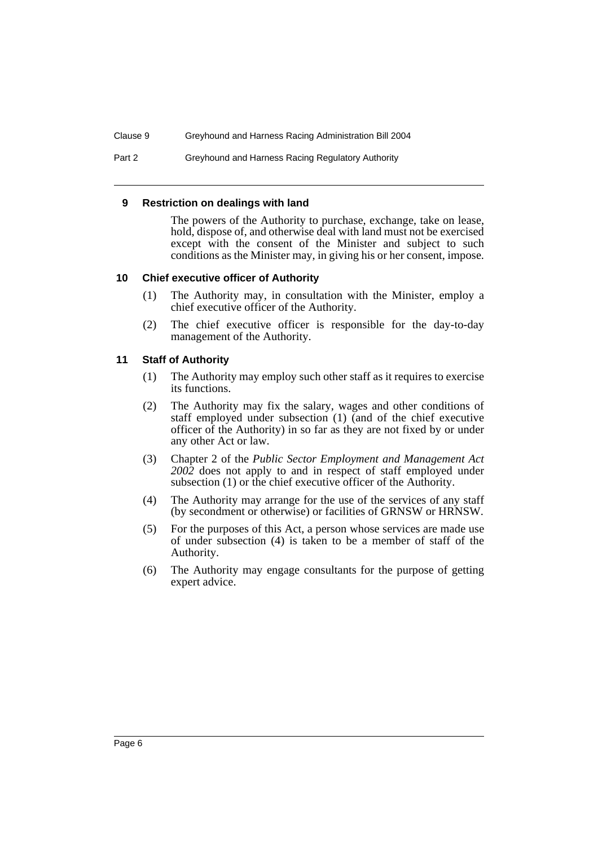### Part 2 Greyhound and Harness Racing Regulatory Authority

### **9 Restriction on dealings with land**

The powers of the Authority to purchase, exchange, take on lease, hold, dispose of, and otherwise deal with land must not be exercised except with the consent of the Minister and subject to such conditions as the Minister may, in giving his or her consent, impose.

### **10 Chief executive officer of Authority**

- (1) The Authority may, in consultation with the Minister, employ a chief executive officer of the Authority.
- (2) The chief executive officer is responsible for the day-to-day management of the Authority.

### **11 Staff of Authority**

- (1) The Authority may employ such other staff as it requires to exercise its functions.
- (2) The Authority may fix the salary, wages and other conditions of staff employed under subsection (1) (and of the chief executive officer of the Authority) in so far as they are not fixed by or under any other Act or law.
- (3) Chapter 2 of the *Public Sector Employment and Management Act 2002* does not apply to and in respect of staff employed under subsection (1) or the chief executive officer of the Authority.
- (4) The Authority may arrange for the use of the services of any staff (by secondment or otherwise) or facilities of GRNSW or HRNSW.
- (5) For the purposes of this Act, a person whose services are made use of under subsection (4) is taken to be a member of staff of the Authority.
- (6) The Authority may engage consultants for the purpose of getting expert advice.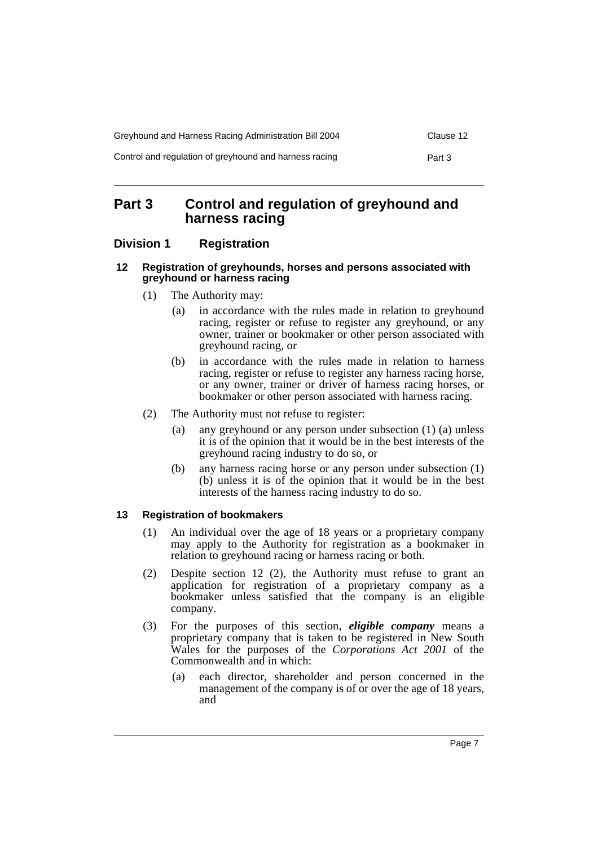| Greyhound and Harness Racing Administration Bill 2004  | Clause 12 |
|--------------------------------------------------------|-----------|
| Control and regulation of greyhound and harness racing | Part 3    |

## **Part 3 Control and regulation of greyhound and harness racing**

### **Division 1 Registration**

- **12 Registration of greyhounds, horses and persons associated with greyhound or harness racing**
	- (1) The Authority may:
		- (a) in accordance with the rules made in relation to greyhound racing, register or refuse to register any greyhound, or any owner, trainer or bookmaker or other person associated with greyhound racing, or
		- (b) in accordance with the rules made in relation to harness racing, register or refuse to register any harness racing horse, or any owner, trainer or driver of harness racing horses, or bookmaker or other person associated with harness racing.
	- (2) The Authority must not refuse to register:
		- (a) any greyhound or any person under subsection (1) (a) unless it is of the opinion that it would be in the best interests of the greyhound racing industry to do so, or
		- (b) any harness racing horse or any person under subsection (1) (b) unless it is of the opinion that it would be in the best interests of the harness racing industry to do so.

### **13 Registration of bookmakers**

- (1) An individual over the age of 18 years or a proprietary company may apply to the Authority for registration as a bookmaker in relation to greyhound racing or harness racing or both.
- (2) Despite section 12 (2), the Authority must refuse to grant an application for registration of a proprietary company as a bookmaker unless satisfied that the company is an eligible company.
- (3) For the purposes of this section, *eligible company* means a proprietary company that is taken to be registered in New South Wales for the purposes of the *Corporations Act 2001* of the Commonwealth and in which:
	- (a) each director, shareholder and person concerned in the management of the company is of or over the age of 18 years, and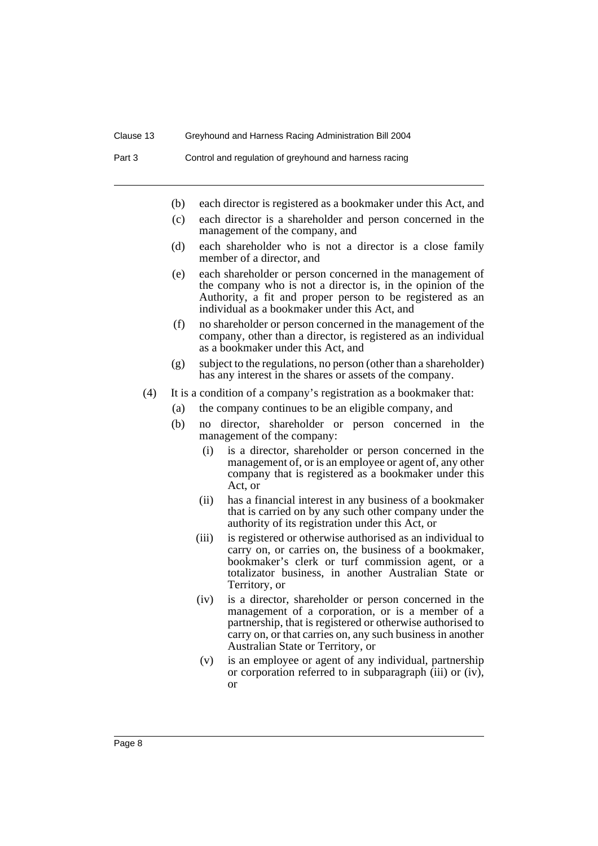- (b) each director is registered as a bookmaker under this Act, and
- (c) each director is a shareholder and person concerned in the management of the company, and
- (d) each shareholder who is not a director is a close family member of a director, and
- (e) each shareholder or person concerned in the management of the company who is not a director is, in the opinion of the Authority, a fit and proper person to be registered as an individual as a bookmaker under this Act, and
- (f) no shareholder or person concerned in the management of the company, other than a director, is registered as an individual as a bookmaker under this Act, and
- (g) subject to the regulations, no person (other than a shareholder) has any interest in the shares or assets of the company.
- (4) It is a condition of a company's registration as a bookmaker that:
	- (a) the company continues to be an eligible company, and
	- (b) no director, shareholder or person concerned in the management of the company:
		- (i) is a director, shareholder or person concerned in the management of, or is an employee or agent of, any other company that is registered as a bookmaker under this Act, or
		- (ii) has a financial interest in any business of a bookmaker that is carried on by any such other company under the authority of its registration under this Act, or
		- (iii) is registered or otherwise authorised as an individual to carry on, or carries on, the business of a bookmaker, bookmaker's clerk or turf commission agent, or a totalizator business, in another Australian State or Territory, or
		- (iv) is a director, shareholder or person concerned in the management of a corporation, or is a member of a partnership, that is registered or otherwise authorised to carry on, or that carries on, any such business in another Australian State or Territory, or
		- (v) is an employee or agent of any individual, partnership or corporation referred to in subparagraph  $(iii)$  or  $(iv)$ , or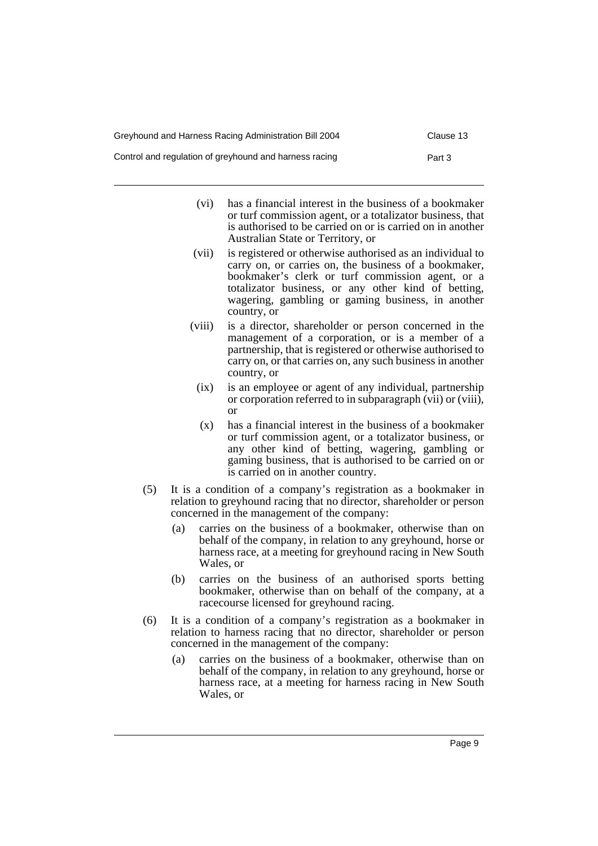| Greyhound and Harness Racing Administration Bill 2004  | Clause 13 |
|--------------------------------------------------------|-----------|
| Control and regulation of greyhound and harness racing | Part 3    |

- (vi) has a financial interest in the business of a bookmaker or turf commission agent, or a totalizator business, that is authorised to be carried on or is carried on in another Australian State or Territory, or
- (vii) is registered or otherwise authorised as an individual to carry on, or carries on, the business of a bookmaker, bookmaker's clerk or turf commission agent, or a totalizator business, or any other kind of betting, wagering, gambling or gaming business, in another country, or
- (viii) is a director, shareholder or person concerned in the management of a corporation, or is a member of a partnership, that is registered or otherwise authorised to carry on, or that carries on, any such business in another country, or
	- (ix) is an employee or agent of any individual, partnership or corporation referred to in subparagraph (vii) or (viii), or
	- (x) has a financial interest in the business of a bookmaker or turf commission agent, or a totalizator business, or any other kind of betting, wagering, gambling or gaming business, that is authorised to be carried on or is carried on in another country.
- (5) It is a condition of a company's registration as a bookmaker in relation to greyhound racing that no director, shareholder or person concerned in the management of the company:
	- (a) carries on the business of a bookmaker, otherwise than on behalf of the company, in relation to any greyhound, horse or harness race, at a meeting for greyhound racing in New South Wales, or
	- (b) carries on the business of an authorised sports betting bookmaker, otherwise than on behalf of the company, at a racecourse licensed for greyhound racing.
- (6) It is a condition of a company's registration as a bookmaker in relation to harness racing that no director, shareholder or person concerned in the management of the company:
	- (a) carries on the business of a bookmaker, otherwise than on behalf of the company, in relation to any greyhound, horse or harness race, at a meeting for harness racing in New South Wales, or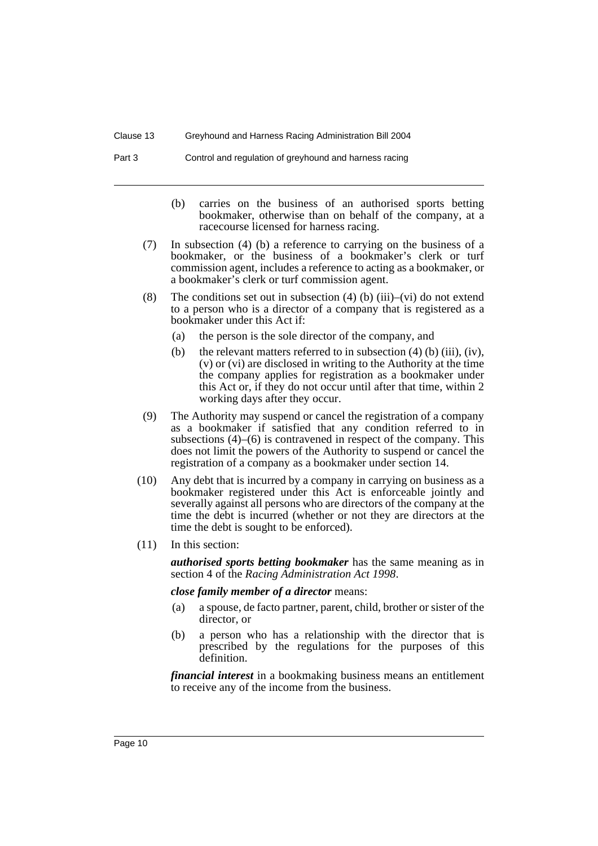- (b) carries on the business of an authorised sports betting bookmaker, otherwise than on behalf of the company, at a racecourse licensed for harness racing.
- (7) In subsection (4) (b) a reference to carrying on the business of a bookmaker, or the business of a bookmaker's clerk or turf commission agent, includes a reference to acting as a bookmaker, or a bookmaker's clerk or turf commission agent.
- (8) The conditions set out in subsection (4) (b) (iii)–(vi) do not extend to a person who is a director of a company that is registered as a bookmaker under this Act if:
	- (a) the person is the sole director of the company, and
	- (b) the relevant matters referred to in subsection  $(4)$  (b) (iii), (iv), (v) or (vi) are disclosed in writing to the Authority at the time the company applies for registration as a bookmaker under this Act or, if they do not occur until after that time, within 2 working days after they occur.
- (9) The Authority may suspend or cancel the registration of a company as a bookmaker if satisfied that any condition referred to in subsections (4)–(6) is contravened in respect of the company. This does not limit the powers of the Authority to suspend or cancel the registration of a company as a bookmaker under section 14.
- (10) Any debt that is incurred by a company in carrying on business as a bookmaker registered under this Act is enforceable jointly and severally against all persons who are directors of the company at the time the debt is incurred (whether or not they are directors at the time the debt is sought to be enforced).
- (11) In this section:

*authorised sports betting bookmaker* has the same meaning as in section 4 of the *Racing Administration Act 1998*.

#### *close family member of a director* means:

- (a) a spouse, de facto partner, parent, child, brother or sister of the director, or
- (b) a person who has a relationship with the director that is prescribed by the regulations for the purposes of this definition.

*financial interest* in a bookmaking business means an entitlement to receive any of the income from the business.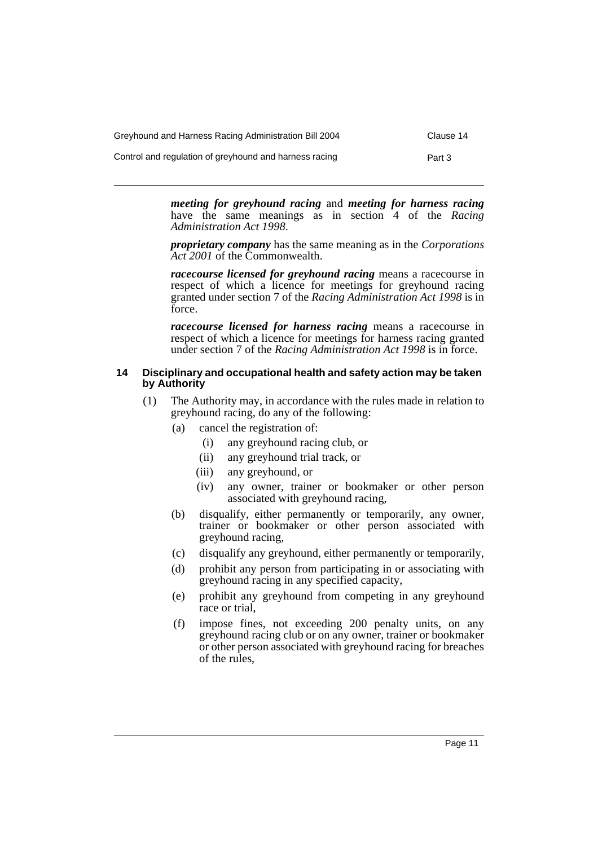| Greyhound and Harness Racing Administration Bill 2004  | Clause 14 |
|--------------------------------------------------------|-----------|
| Control and regulation of greyhound and harness racing | Part 3    |

*meeting for greyhound racing* and *meeting for harness racing* have the same meanings as in section 4 of the *Racing Administration Act 1998*.

*proprietary company* has the same meaning as in the *Corporations Act 2001* of the Commonwealth.

*racecourse licensed for greyhound racing* means a racecourse in respect of which a licence for meetings for greyhound racing granted under section 7 of the *Racing Administration Act 1998* is in force.

*racecourse licensed for harness racing* means a racecourse in respect of which a licence for meetings for harness racing granted under section 7 of the *Racing Administration Act 1998* is in force.

#### **14 Disciplinary and occupational health and safety action may be taken by Authority**

- (1) The Authority may, in accordance with the rules made in relation to greyhound racing, do any of the following:
	- (a) cancel the registration of:
		- (i) any greyhound racing club, or
		- (ii) any greyhound trial track, or
		- (iii) any greyhound, or
		- (iv) any owner, trainer or bookmaker or other person associated with greyhound racing,
	- (b) disqualify, either permanently or temporarily, any owner, trainer or bookmaker or other person associated with greyhound racing,
	- (c) disqualify any greyhound, either permanently or temporarily,
	- (d) prohibit any person from participating in or associating with greyhound racing in any specified capacity,
	- (e) prohibit any greyhound from competing in any greyhound race or trial,
	- (f) impose fines, not exceeding 200 penalty units, on any greyhound racing club or on any owner, trainer or bookmaker or other person associated with greyhound racing for breaches of the rules,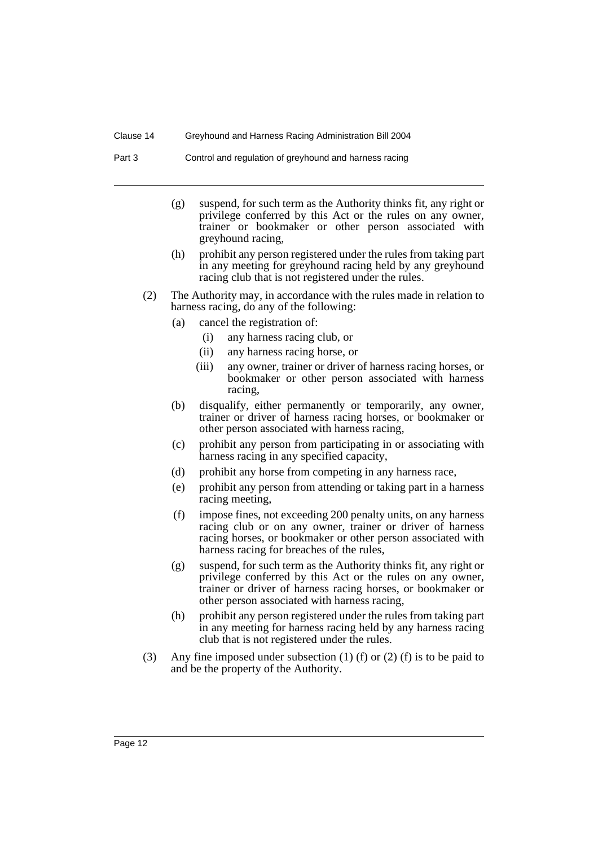- (g) suspend, for such term as the Authority thinks fit, any right or privilege conferred by this Act or the rules on any owner, trainer or bookmaker or other person associated with greyhound racing,
- (h) prohibit any person registered under the rules from taking part in any meeting for greyhound racing held by any greyhound racing club that is not registered under the rules.
- (2) The Authority may, in accordance with the rules made in relation to harness racing, do any of the following:
	- (a) cancel the registration of:
		- (i) any harness racing club, or
		- (ii) any harness racing horse, or
		- (iii) any owner, trainer or driver of harness racing horses, or bookmaker or other person associated with harness racing,
	- (b) disqualify, either permanently or temporarily, any owner, trainer or driver of harness racing horses, or bookmaker or other person associated with harness racing,
	- (c) prohibit any person from participating in or associating with harness racing in any specified capacity,
	- (d) prohibit any horse from competing in any harness race,
	- (e) prohibit any person from attending or taking part in a harness racing meeting,
	- (f) impose fines, not exceeding 200 penalty units, on any harness racing club or on any owner, trainer or driver of harness racing horses, or bookmaker or other person associated with harness racing for breaches of the rules,
	- (g) suspend, for such term as the Authority thinks fit, any right or privilege conferred by this Act or the rules on any owner, trainer or driver of harness racing horses, or bookmaker or other person associated with harness racing,
	- (h) prohibit any person registered under the rules from taking part in any meeting for harness racing held by any harness racing club that is not registered under the rules.
- (3) Any fine imposed under subsection (1) (f) or (2) (f) is to be paid to and be the property of the Authority.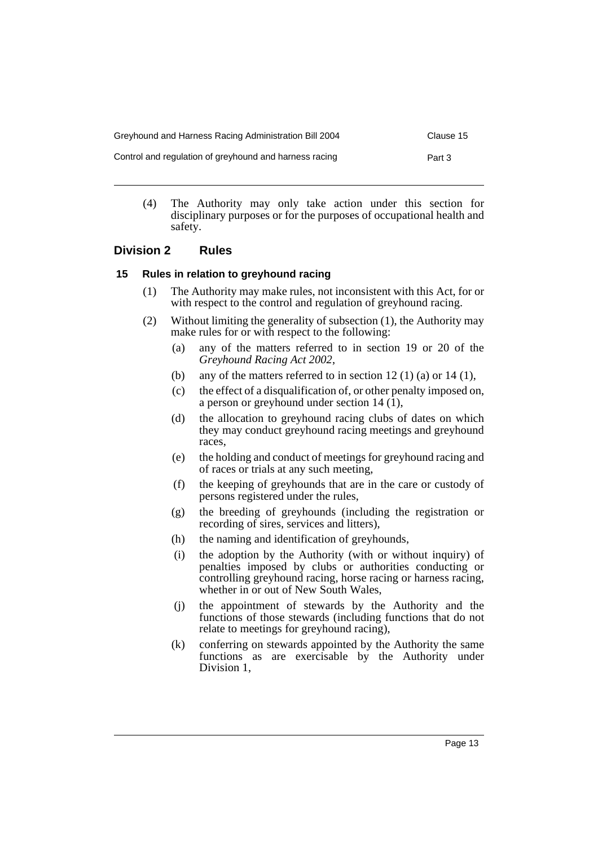| Greyhound and Harness Racing Administration Bill 2004  | Clause 15 |
|--------------------------------------------------------|-----------|
| Control and regulation of greyhound and harness racing | Part 3    |

(4) The Authority may only take action under this section for disciplinary purposes or for the purposes of occupational health and safety.

### **Division 2 Rules**

### **15 Rules in relation to greyhound racing**

- (1) The Authority may make rules, not inconsistent with this Act, for or with respect to the control and regulation of greyhound racing.
- (2) Without limiting the generality of subsection (1), the Authority may make rules for or with respect to the following:
	- (a) any of the matters referred to in section 19 or 20 of the *Greyhound Racing Act 2002*,
	- (b) any of the matters referred to in section  $12(1)(a)$  or  $14(1)$ ,
	- (c) the effect of a disqualification of, or other penalty imposed on, a person or greyhound under section  $14 \overline{1}$ ,
	- (d) the allocation to greyhound racing clubs of dates on which they may conduct greyhound racing meetings and greyhound races,
	- (e) the holding and conduct of meetings for greyhound racing and of races or trials at any such meeting,
	- (f) the keeping of greyhounds that are in the care or custody of persons registered under the rules,
	- (g) the breeding of greyhounds (including the registration or recording of sires, services and litters),
	- (h) the naming and identification of greyhounds,
	- (i) the adoption by the Authority (with or without inquiry) of penalties imposed by clubs or authorities conducting or controlling greyhound racing, horse racing or harness racing, whether in or out of New South Wales,
	- (j) the appointment of stewards by the Authority and the functions of those stewards (including functions that do not relate to meetings for greyhound racing),
	- (k) conferring on stewards appointed by the Authority the same functions as are exercisable by the Authority under Division 1,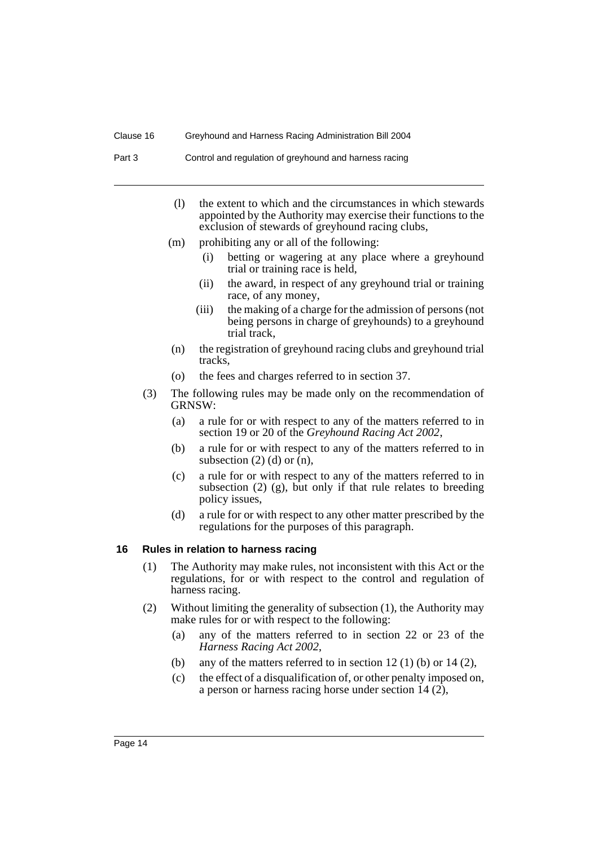- (l) the extent to which and the circumstances in which stewards appointed by the Authority may exercise their functions to the exclusion of stewards of greyhound racing clubs,
- (m) prohibiting any or all of the following:
	- (i) betting or wagering at any place where a greyhound trial or training race is held,
	- (ii) the award, in respect of any greyhound trial or training race, of any money,
	- (iii) the making of a charge for the admission of persons (not being persons in charge of greyhounds) to a greyhound trial track,
- (n) the registration of greyhound racing clubs and greyhound trial tracks,
- (o) the fees and charges referred to in section 37.
- (3) The following rules may be made only on the recommendation of GRNSW:
	- (a) a rule for or with respect to any of the matters referred to in section 19 or 20 of the *Greyhound Racing Act 2002*,
	- (b) a rule for or with respect to any of the matters referred to in subsection  $(2)$  (d) or  $(n)$ ,
	- (c) a rule for or with respect to any of the matters referred to in subsection  $(2)$   $(g)$ , but only if that rule relates to breeding policy issues,
	- (d) a rule for or with respect to any other matter prescribed by the regulations for the purposes of this paragraph.

### **16 Rules in relation to harness racing**

- (1) The Authority may make rules, not inconsistent with this Act or the regulations, for or with respect to the control and regulation of harness racing.
- (2) Without limiting the generality of subsection (1), the Authority may make rules for or with respect to the following:
	- (a) any of the matters referred to in section 22 or 23 of the *Harness Racing Act 2002*,
	- (b) any of the matters referred to in section 12 (1) (b) or 14 (2),
	- (c) the effect of a disqualification of, or other penalty imposed on, a person or harness racing horse under section  $14(2)$ ,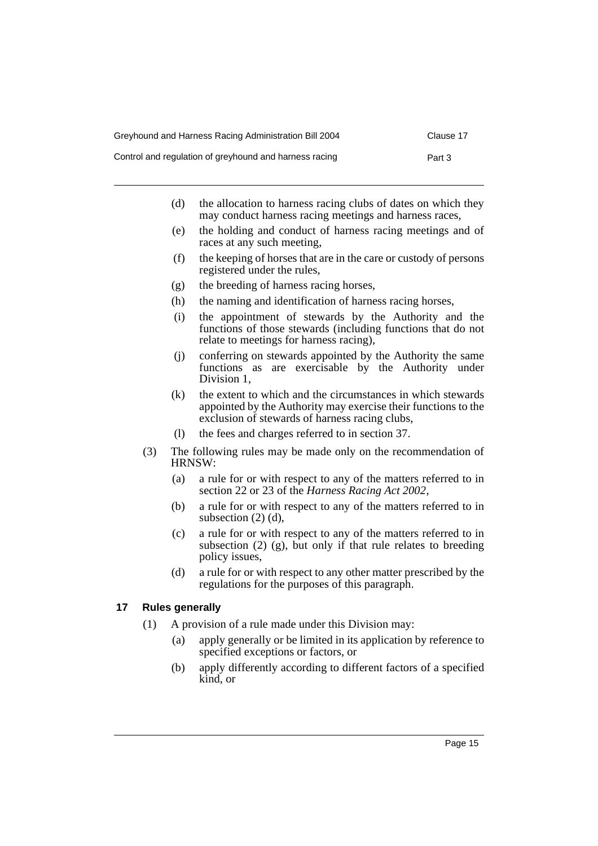| Greyhound and Harness Racing Administration Bill 2004  | Clause 17 |
|--------------------------------------------------------|-----------|
| Control and regulation of greyhound and harness racing | Part 3    |

- (d) the allocation to harness racing clubs of dates on which they may conduct harness racing meetings and harness races,
- (e) the holding and conduct of harness racing meetings and of races at any such meeting,
- (f) the keeping of horses that are in the care or custody of persons registered under the rules,
- (g) the breeding of harness racing horses,
- (h) the naming and identification of harness racing horses,
- (i) the appointment of stewards by the Authority and the functions of those stewards (including functions that do not relate to meetings for harness racing),
- (j) conferring on stewards appointed by the Authority the same functions as are exercisable by the Authority under Division 1,
- (k) the extent to which and the circumstances in which stewards appointed by the Authority may exercise their functions to the exclusion of stewards of harness racing clubs,
- (l) the fees and charges referred to in section 37.
- (3) The following rules may be made only on the recommendation of HRNSW:
	- (a) a rule for or with respect to any of the matters referred to in section 22 or 23 of the *Harness Racing Act 2002*,
	- (b) a rule for or with respect to any of the matters referred to in subsection (2) (d),
	- (c) a rule for or with respect to any of the matters referred to in subsection (2) (g), but only if that rule relates to breeding policy issues,
	- (d) a rule for or with respect to any other matter prescribed by the regulations for the purposes of this paragraph.

### **17 Rules generally**

- (1) A provision of a rule made under this Division may:
	- (a) apply generally or be limited in its application by reference to specified exceptions or factors, or
	- (b) apply differently according to different factors of a specified kind, or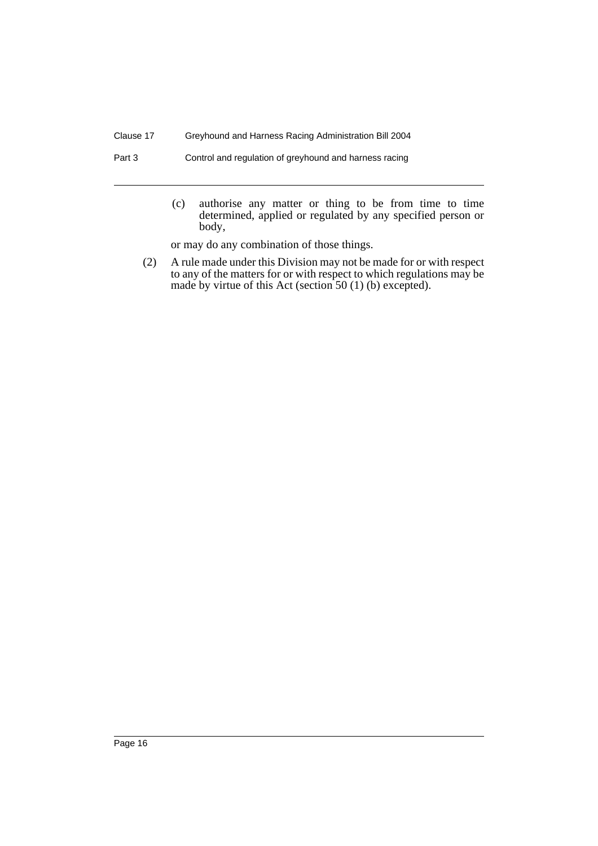Part 3 Control and regulation of greyhound and harness racing

(c) authorise any matter or thing to be from time to time determined, applied or regulated by any specified person or body,

or may do any combination of those things.

(2) A rule made under this Division may not be made for or with respect to any of the matters for or with respect to which regulations may be made by virtue of this Act (section 50 (1) (b) excepted).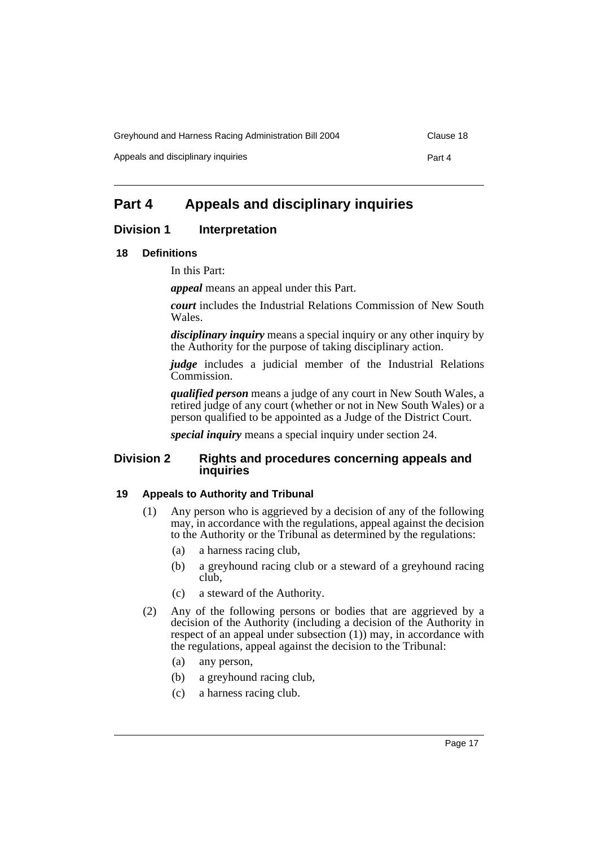Greyhound and Harness Racing Administration Bill 2004 Clause 18

Appeals and disciplinary inquiries Appeals and disciplinary inquiries Part 4

### **Part 4 Appeals and disciplinary inquiries**

### **Division 1** Interpretation

#### **18 Definitions**

In this Part:

*appeal* means an appeal under this Part.

*court* includes the Industrial Relations Commission of New South Wales.

*disciplinary inquiry* means a special inquiry or any other inquiry by the Authority for the purpose of taking disciplinary action.

*judge* includes a judicial member of the Industrial Relations Commission.

*qualified person* means a judge of any court in New South Wales, a retired judge of any court (whether or not in New South Wales) or a person qualified to be appointed as a Judge of the District Court.

*special inquiry* means a special inquiry under section 24.

### **Division 2 Rights and procedures concerning appeals and inquiries**

### **19 Appeals to Authority and Tribunal**

- (1) Any person who is aggrieved by a decision of any of the following may, in accordance with the regulations, appeal against the decision to the Authority or the Tribunal as determined by the regulations:
	- (a) a harness racing club,
	- (b) a greyhound racing club or a steward of a greyhound racing club,
	- (c) a steward of the Authority.
- (2) Any of the following persons or bodies that are aggrieved by a decision of the Authority (including a decision of the Authority in respect of an appeal under subsection (1)) may, in accordance with the regulations, appeal against the decision to the Tribunal:
	- (a) any person,
	- (b) a greyhound racing club,
	- (c) a harness racing club.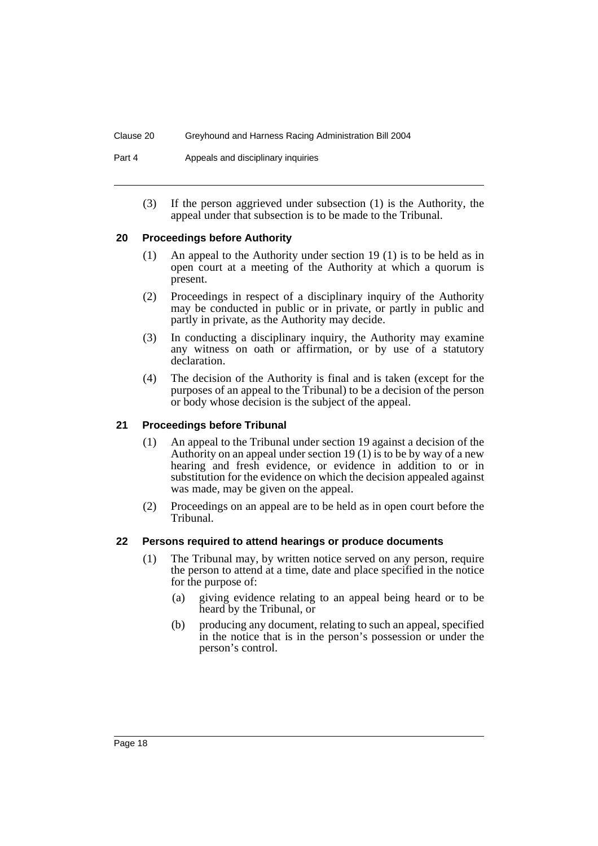Part 4 **Appeals and disciplinary inquiries** 

(3) If the person aggrieved under subsection (1) is the Authority, the appeal under that subsection is to be made to the Tribunal.

### **20 Proceedings before Authority**

- (1) An appeal to the Authority under section 19 (1) is to be held as in open court at a meeting of the Authority at which a quorum is present.
- (2) Proceedings in respect of a disciplinary inquiry of the Authority may be conducted in public or in private, or partly in public and partly in private, as the Authority may decide.
- (3) In conducting a disciplinary inquiry, the Authority may examine any witness on oath or affirmation, or by use of a statutory declaration.
- (4) The decision of the Authority is final and is taken (except for the purposes of an appeal to the Tribunal) to be a decision of the person or body whose decision is the subject of the appeal.

### **21 Proceedings before Tribunal**

- (1) An appeal to the Tribunal under section 19 against a decision of the Authority on an appeal under section 19 (1) is to be by way of a new hearing and fresh evidence, or evidence in addition to or in substitution for the evidence on which the decision appealed against was made, may be given on the appeal.
- (2) Proceedings on an appeal are to be held as in open court before the Tribunal.

### **22 Persons required to attend hearings or produce documents**

- (1) The Tribunal may, by written notice served on any person, require the person to attend at a time, date and place specified in the notice for the purpose of:
	- (a) giving evidence relating to an appeal being heard or to be heard by the Tribunal, or
	- (b) producing any document, relating to such an appeal, specified in the notice that is in the person's possession or under the person's control.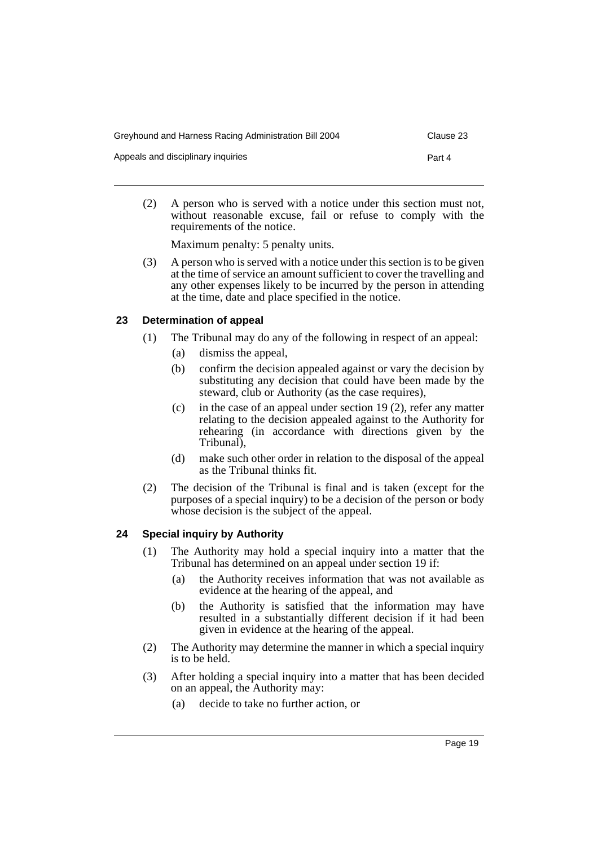Appeals and disciplinary inquiries Appeals and disciplinary inquiries Part 4

(2) A person who is served with a notice under this section must not, without reasonable excuse, fail or refuse to comply with the requirements of the notice.

Maximum penalty: 5 penalty units.

(3) A person who is served with a notice under this section is to be given at the time of service an amount sufficient to cover the travelling and any other expenses likely to be incurred by the person in attending at the time, date and place specified in the notice.

#### **23 Determination of appeal**

- (1) The Tribunal may do any of the following in respect of an appeal:
	- (a) dismiss the appeal,
	- (b) confirm the decision appealed against or vary the decision by substituting any decision that could have been made by the steward, club or Authority (as the case requires),
	- (c) in the case of an appeal under section 19 (2), refer any matter relating to the decision appealed against to the Authority for rehearing (in accordance with directions given by the Tribunal),
	- (d) make such other order in relation to the disposal of the appeal as the Tribunal thinks fit.
- (2) The decision of the Tribunal is final and is taken (except for the purposes of a special inquiry) to be a decision of the person or body whose decision is the subject of the appeal.

### **24 Special inquiry by Authority**

- (1) The Authority may hold a special inquiry into a matter that the Tribunal has determined on an appeal under section 19 if:
	- (a) the Authority receives information that was not available as evidence at the hearing of the appeal, and
	- (b) the Authority is satisfied that the information may have resulted in a substantially different decision if it had been given in evidence at the hearing of the appeal.
- (2) The Authority may determine the manner in which a special inquiry is to be held.
- (3) After holding a special inquiry into a matter that has been decided on an appeal, the Authority may:
	- (a) decide to take no further action, or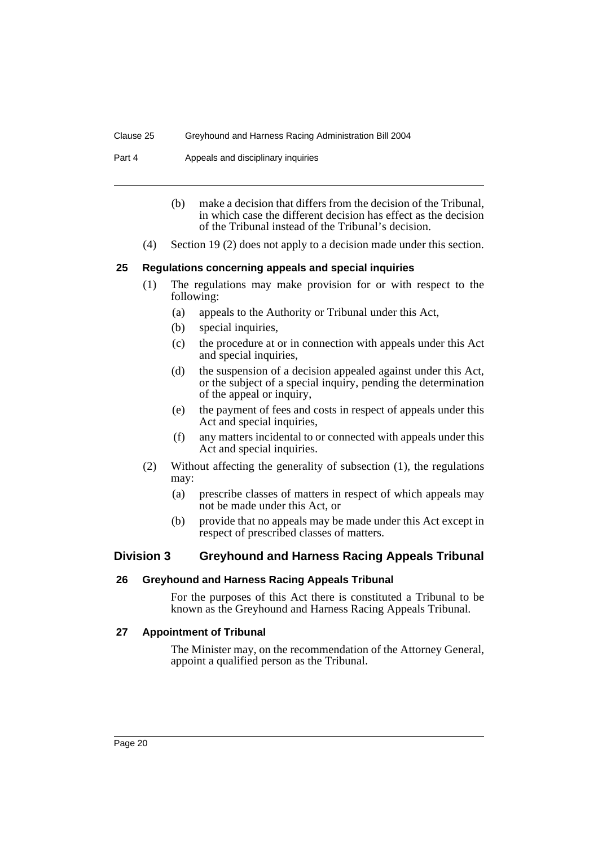Part 4 **Appeals and disciplinary inquiries** 

- (b) make a decision that differs from the decision of the Tribunal, in which case the different decision has effect as the decision of the Tribunal instead of the Tribunal's decision.
- (4) Section 19 (2) does not apply to a decision made under this section.

### **25 Regulations concerning appeals and special inquiries**

- (1) The regulations may make provision for or with respect to the following:
	- (a) appeals to the Authority or Tribunal under this Act,
	- (b) special inquiries,
	- (c) the procedure at or in connection with appeals under this Act and special inquiries,
	- (d) the suspension of a decision appealed against under this Act, or the subject of a special inquiry, pending the determination of the appeal or inquiry,
	- (e) the payment of fees and costs in respect of appeals under this Act and special inquiries,
	- (f) any matters incidental to or connected with appeals under this Act and special inquiries.
- (2) Without affecting the generality of subsection (1), the regulations may:
	- (a) prescribe classes of matters in respect of which appeals may not be made under this Act, or
	- (b) provide that no appeals may be made under this Act except in respect of prescribed classes of matters.

### **Division 3 Greyhound and Harness Racing Appeals Tribunal**

### **26 Greyhound and Harness Racing Appeals Tribunal**

For the purposes of this Act there is constituted a Tribunal to be known as the Greyhound and Harness Racing Appeals Tribunal.

### **27 Appointment of Tribunal**

The Minister may, on the recommendation of the Attorney General, appoint a qualified person as the Tribunal.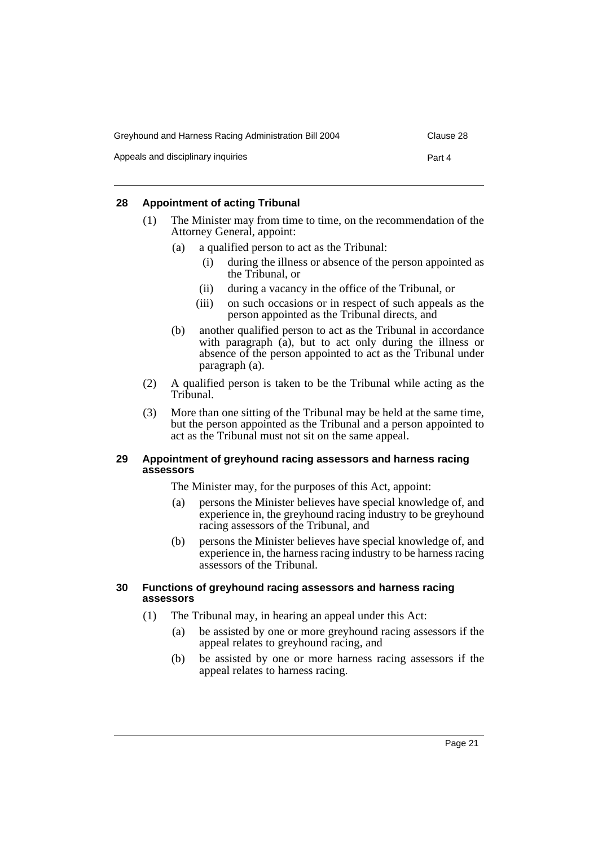| Greyhound and Harness Racing Administration Bill 2004 | Clause 28 |
|-------------------------------------------------------|-----------|
| Appeals and disciplinary inquiries                    | Part 4    |

### **28 Appointment of acting Tribunal**

- (1) The Minister may from time to time, on the recommendation of the Attorney General, appoint:
	- (a) a qualified person to act as the Tribunal:
		- (i) during the illness or absence of the person appointed as the Tribunal, or
		- (ii) during a vacancy in the office of the Tribunal, or
		- (iii) on such occasions or in respect of such appeals as the person appointed as the Tribunal directs, and
	- (b) another qualified person to act as the Tribunal in accordance with paragraph  $(a)$ , but to act only during the illness or absence of the person appointed to act as the Tribunal under paragraph (a).
- (2) A qualified person is taken to be the Tribunal while acting as the Tribunal.
- (3) More than one sitting of the Tribunal may be held at the same time, but the person appointed as the Tribunal and a person appointed to act as the Tribunal must not sit on the same appeal.

### **29 Appointment of greyhound racing assessors and harness racing assessors**

The Minister may, for the purposes of this Act, appoint:

- (a) persons the Minister believes have special knowledge of, and experience in, the greyhound racing industry to be greyhound racing assessors of the Tribunal, and
- (b) persons the Minister believes have special knowledge of, and experience in, the harness racing industry to be harness racing assessors of the Tribunal.

### **30 Functions of greyhound racing assessors and harness racing assessors**

- (1) The Tribunal may, in hearing an appeal under this Act:
	- (a) be assisted by one or more greyhound racing assessors if the appeal relates to greyhound racing, and
	- (b) be assisted by one or more harness racing assessors if the appeal relates to harness racing.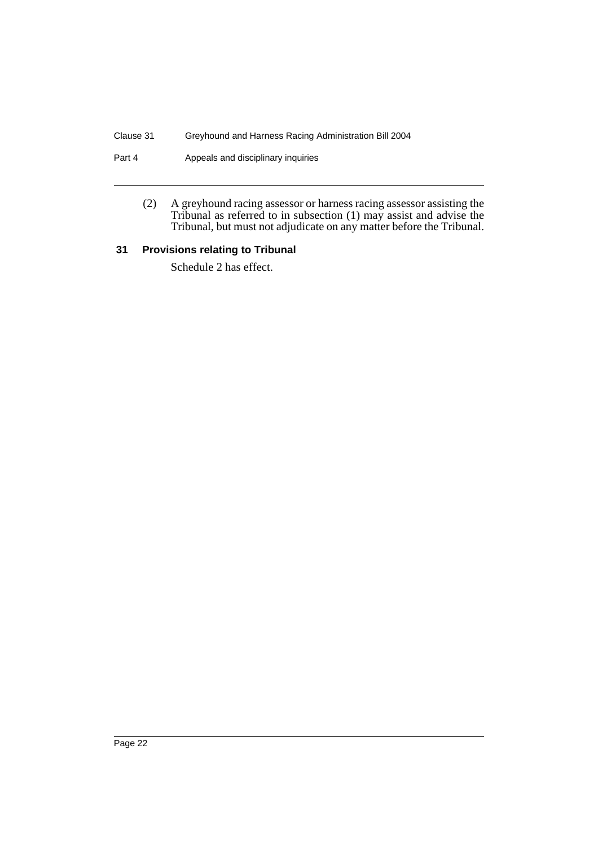Part 4 Appeals and disciplinary inquiries

(2) A greyhound racing assessor or harness racing assessor assisting the Tribunal as referred to in subsection (1) may assist and advise the Tribunal, but must not adjudicate on any matter before the Tribunal.

### **31 Provisions relating to Tribunal**

Schedule 2 has effect.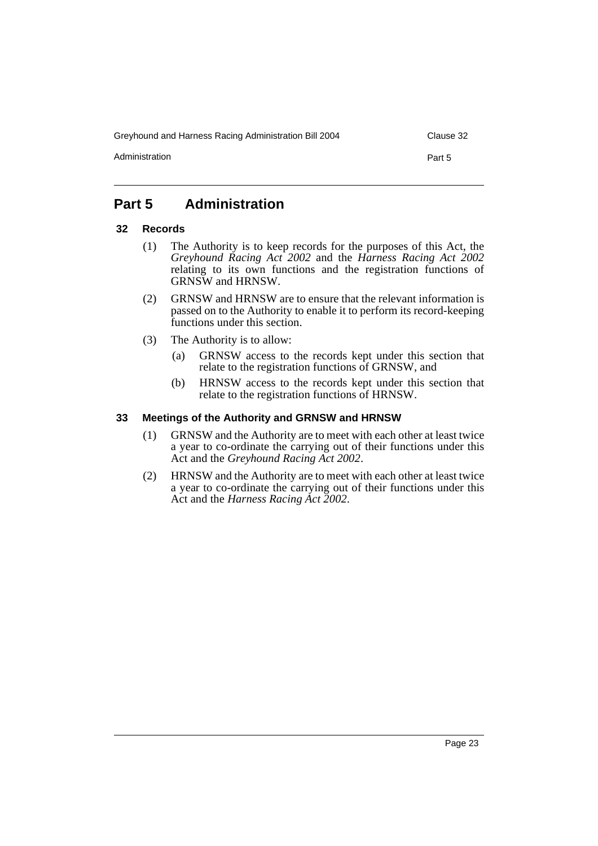Greyhound and Harness Racing Administration Bill 2004 Clause 32

Administration **Part 5** 

## **Part 5 Administration**

### **32 Records**

- (1) The Authority is to keep records for the purposes of this Act, the *Greyhound Racing Act 2002* and the *Harness Racing Act 2002* relating to its own functions and the registration functions of GRNSW and HRNSW.
- (2) GRNSW and HRNSW are to ensure that the relevant information is passed on to the Authority to enable it to perform its record-keeping functions under this section.
- (3) The Authority is to allow:
	- (a) GRNSW access to the records kept under this section that relate to the registration functions of GRNSW, and
	- (b) HRNSW access to the records kept under this section that relate to the registration functions of HRNSW.

### **33 Meetings of the Authority and GRNSW and HRNSW**

- (1) GRNSW and the Authority are to meet with each other at least twice a year to co-ordinate the carrying out of their functions under this Act and the *Greyhound Racing Act 2002*.
- (2) HRNSW and the Authority are to meet with each other at least twice a year to co-ordinate the carrying out of their functions under this Act and the *Harness Racing Act 2002*.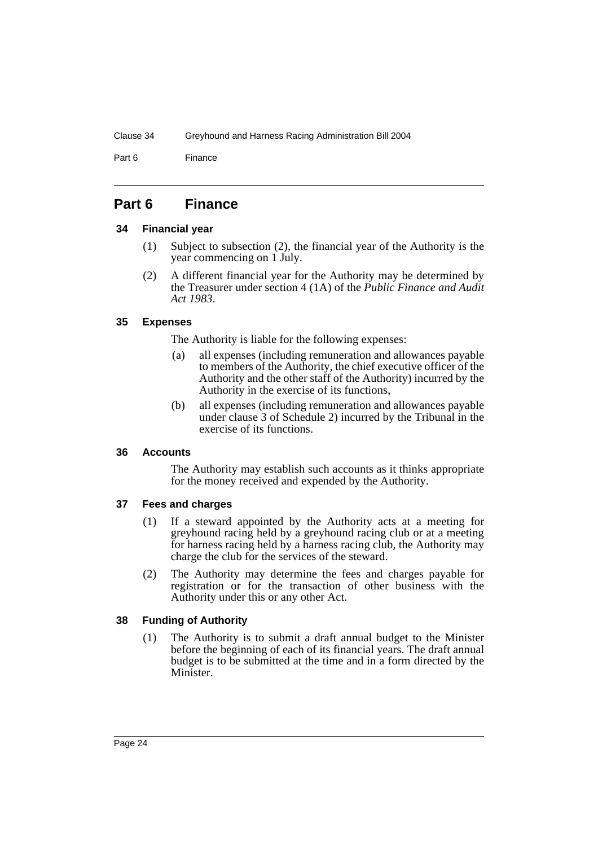Part 6 Finance

## **Part 6 Finance**

### **34 Financial year**

- (1) Subject to subsection (2), the financial year of the Authority is the year commencing on 1 July.
- (2) A different financial year for the Authority may be determined by the Treasurer under section 4 (1A) of the *Public Finance and Audit Act 1983*.

### **35 Expenses**

The Authority is liable for the following expenses:

- (a) all expenses (including remuneration and allowances payable to members of the Authority, the chief executive officer of the Authority and the other staff of the Authority) incurred by the Authority in the exercise of its functions,
- (b) all expenses (including remuneration and allowances payable under clause 3 of Schedule 2) incurred by the Tribunal in the exercise of its functions.

### **36 Accounts**

The Authority may establish such accounts as it thinks appropriate for the money received and expended by the Authority.

### **37 Fees and charges**

- (1) If a steward appointed by the Authority acts at a meeting for greyhound racing held by a greyhound racing club or at a meeting for harness racing held by a harness racing club, the Authority may charge the club for the services of the steward.
- (2) The Authority may determine the fees and charges payable for registration or for the transaction of other business with the Authority under this or any other Act.

### **38 Funding of Authority**

(1) The Authority is to submit a draft annual budget to the Minister before the beginning of each of its financial years. The draft annual budget is to be submitted at the time and in a form directed by the Minister.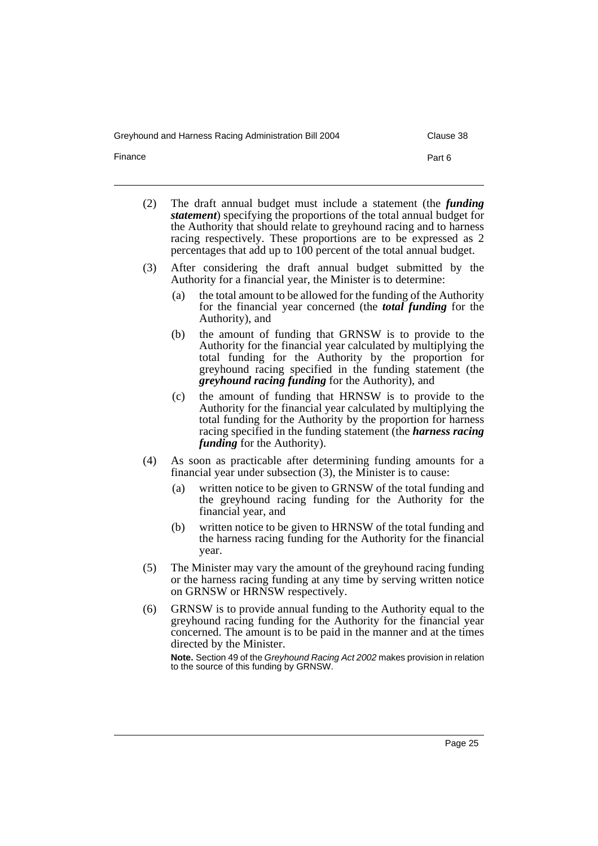Greyhound and Harness Racing Administration Bill 2004 Clause 38

Finance **Part 6** 

- (2) The draft annual budget must include a statement (the *funding statement*) specifying the proportions of the total annual budget for the Authority that should relate to greyhound racing and to harness racing respectively. These proportions are to be expressed as 2 percentages that add up to 100 percent of the total annual budget.
- (3) After considering the draft annual budget submitted by the Authority for a financial year, the Minister is to determine:
	- (a) the total amount to be allowed for the funding of the Authority for the financial year concerned (the *total funding* for the Authority), and
	- (b) the amount of funding that GRNSW is to provide to the Authority for the financial year calculated by multiplying the total funding for the Authority by the proportion for greyhound racing specified in the funding statement (the *greyhound racing funding* for the Authority), and
	- (c) the amount of funding that HRNSW is to provide to the Authority for the financial year calculated by multiplying the total funding for the Authority by the proportion for harness racing specified in the funding statement (the *harness racing funding* for the Authority).
- (4) As soon as practicable after determining funding amounts for a financial year under subsection (3), the Minister is to cause:
	- (a) written notice to be given to GRNSW of the total funding and the greyhound racing funding for the Authority for the financial year, and
	- (b) written notice to be given to HRNSW of the total funding and the harness racing funding for the Authority for the financial year.
- (5) The Minister may vary the amount of the greyhound racing funding or the harness racing funding at any time by serving written notice on GRNSW or HRNSW respectively.
- (6) GRNSW is to provide annual funding to the Authority equal to the greyhound racing funding for the Authority for the financial year concerned. The amount is to be paid in the manner and at the times directed by the Minister.

**Note.** Section 49 of the *Greyhound Racing Act 2002* makes provision in relation to the source of this funding by GRNSW.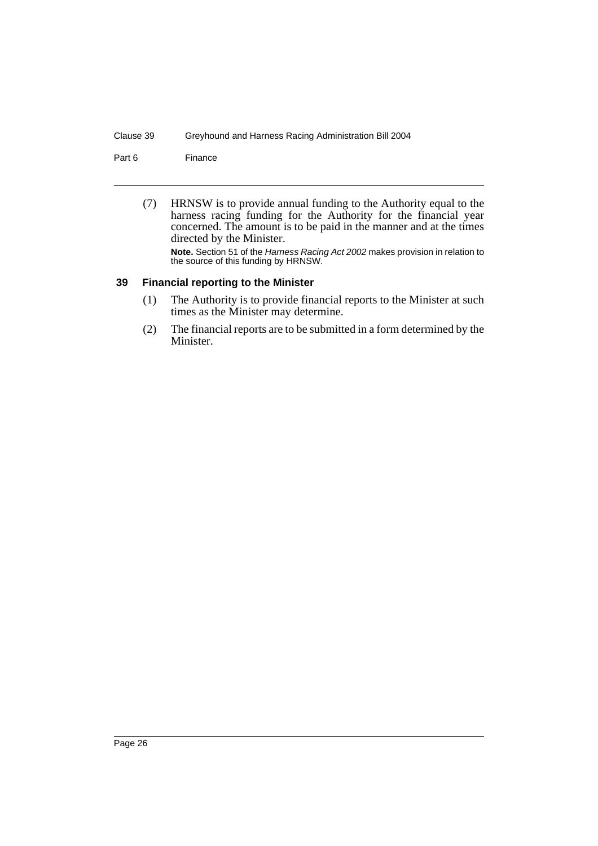Part 6 Finance

(7) HRNSW is to provide annual funding to the Authority equal to the harness racing funding for the Authority for the financial year concerned. The amount is to be paid in the manner and at the times directed by the Minister.

**Note.** Section 51 of the *Harness Racing Act 2002* makes provision in relation to the source of this funding by HRNSW.

### **39 Financial reporting to the Minister**

- (1) The Authority is to provide financial reports to the Minister at such times as the Minister may determine.
- (2) The financial reports are to be submitted in a form determined by the Minister.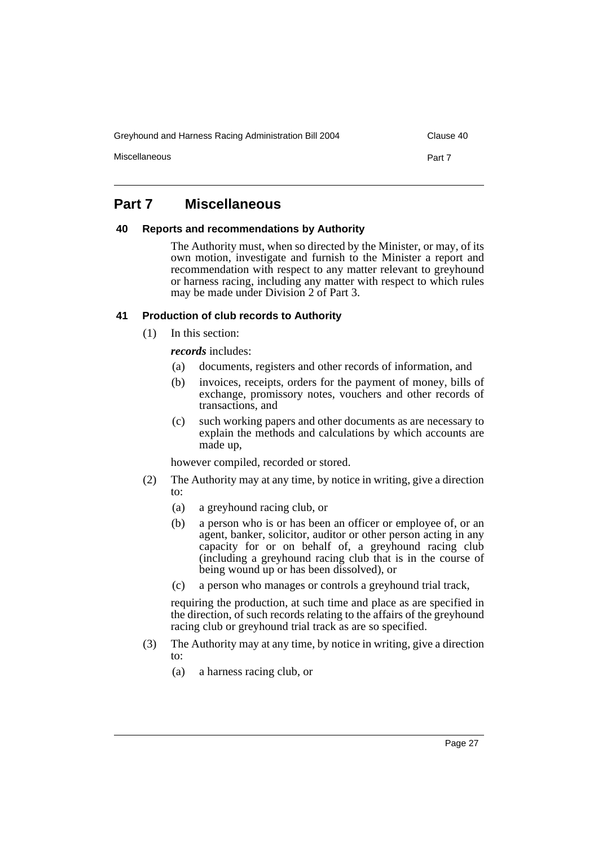Greyhound and Harness Racing Administration Bill 2004 Clause 40

Miscellaneous Part 7

### **Part 7 Miscellaneous**

### **40 Reports and recommendations by Authority**

The Authority must, when so directed by the Minister, or may, of its own motion, investigate and furnish to the Minister a report and recommendation with respect to any matter relevant to greyhound or harness racing, including any matter with respect to which rules may be made under Division 2 of Part 3.

### **41 Production of club records to Authority**

(1) In this section:

*records* includes:

- (a) documents, registers and other records of information, and
- (b) invoices, receipts, orders for the payment of money, bills of exchange, promissory notes, vouchers and other records of transactions, and
- (c) such working papers and other documents as are necessary to explain the methods and calculations by which accounts are made up,

however compiled, recorded or stored.

- (2) The Authority may at any time, by notice in writing, give a direction to:
	- (a) a greyhound racing club, or
	- (b) a person who is or has been an officer or employee of, or an agent, banker, solicitor, auditor or other person acting in any capacity for or on behalf of, a greyhound racing club (including a greyhound racing club that is in the course of being wound up or has been dissolved), or
	- (c) a person who manages or controls a greyhound trial track,

requiring the production, at such time and place as are specified in the direction, of such records relating to the affairs of the greyhound racing club or greyhound trial track as are so specified.

- (3) The Authority may at any time, by notice in writing, give a direction to:
	- (a) a harness racing club, or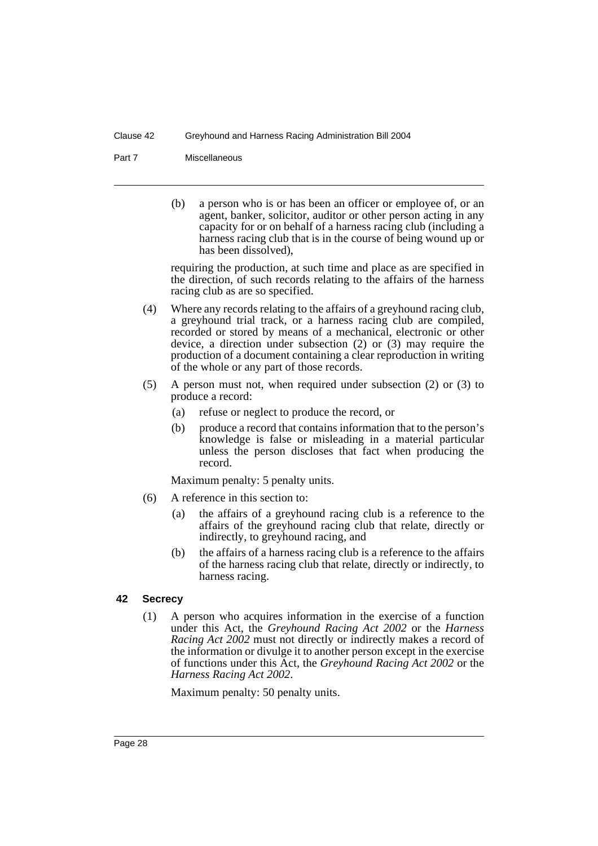#### Part 7 Miscellaneous

(b) a person who is or has been an officer or employee of, or an agent, banker, solicitor, auditor or other person acting in any capacity for or on behalf of a harness racing club (including a harness racing club that is in the course of being wound up or has been dissolved),

requiring the production, at such time and place as are specified in the direction, of such records relating to the affairs of the harness racing club as are so specified.

- (4) Where any records relating to the affairs of a greyhound racing club, a greyhound trial track, or a harness racing club are compiled, recorded or stored by means of a mechanical, electronic or other device, a direction under subsection (2) or (3) may require the production of a document containing a clear reproduction in writing of the whole or any part of those records.
- (5) A person must not, when required under subsection (2) or (3) to produce a record:
	- (a) refuse or neglect to produce the record, or
	- (b) produce a record that contains information that to the person's knowledge is false or misleading in a material particular unless the person discloses that fact when producing the record.

Maximum penalty: 5 penalty units.

- (6) A reference in this section to:
	- (a) the affairs of a greyhound racing club is a reference to the affairs of the greyhound racing club that relate, directly or indirectly, to greyhound racing, and
	- (b) the affairs of a harness racing club is a reference to the affairs of the harness racing club that relate, directly or indirectly, to harness racing.

### **42 Secrecy**

(1) A person who acquires information in the exercise of a function under this Act, the *Greyhound Racing Act 2002* or the *Harness Racing Act 2002* must not directly or indirectly makes a record of the information or divulge it to another person except in the exercise of functions under this Act, the *Greyhound Racing Act 2002* or the *Harness Racing Act 2002*.

Maximum penalty: 50 penalty units.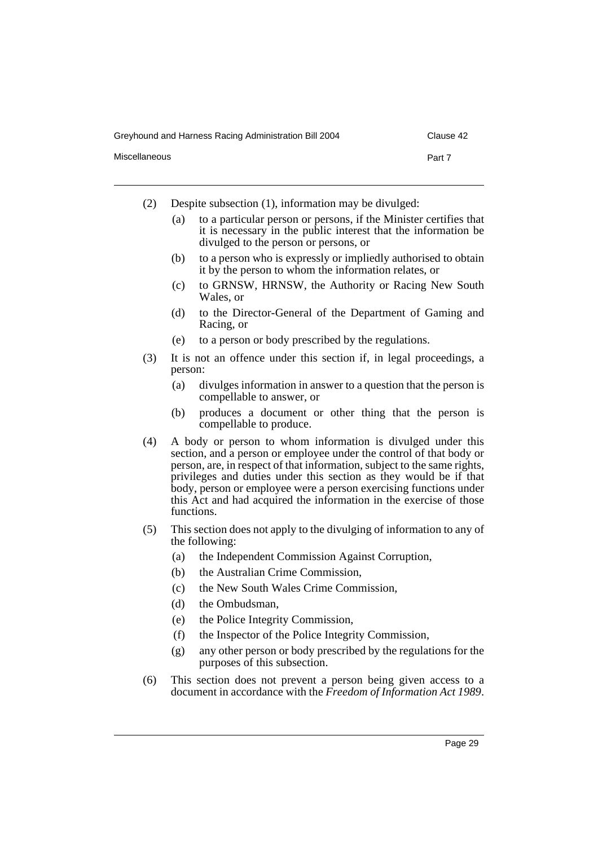| Greyhound and Harness Racing Administration Bill 2004 | Clause 42 |
|-------------------------------------------------------|-----------|
| Miscellaneous                                         | Part 7    |

| Clause 42 |  |
|-----------|--|
|-----------|--|

| Despite subsection (1), information may be divulged: |
|------------------------------------------------------|

- (a) to a particular person or persons, if the Minister certifies that it is necessary in the public interest that the information be divulged to the person or persons, or
- (b) to a person who is expressly or impliedly authorised to obtain it by the person to whom the information relates, or
- (c) to GRNSW, HRNSW, the Authority or Racing New South Wales, or
- (d) to the Director-General of the Department of Gaming and Racing, or
- (e) to a person or body prescribed by the regulations.
- (3) It is not an offence under this section if, in legal proceedings, a person:
	- (a) divulges information in answer to a question that the person is compellable to answer, or
	- (b) produces a document or other thing that the person is compellable to produce.
- (4) A body or person to whom information is divulged under this section, and a person or employee under the control of that body or person, are, in respect of that information, subject to the same rights, privileges and duties under this section as they would be if that body, person or employee were a person exercising functions under this Act and had acquired the information in the exercise of those functions.
- (5) This section does not apply to the divulging of information to any of the following:
	- (a) the Independent Commission Against Corruption,
	- (b) the Australian Crime Commission,
	- (c) the New South Wales Crime Commission,
	- (d) the Ombudsman,
	- (e) the Police Integrity Commission,
	- (f) the Inspector of the Police Integrity Commission,
	- (g) any other person or body prescribed by the regulations for the purposes of this subsection.
- (6) This section does not prevent a person being given access to a document in accordance with the *Freedom of Information Act 1989*.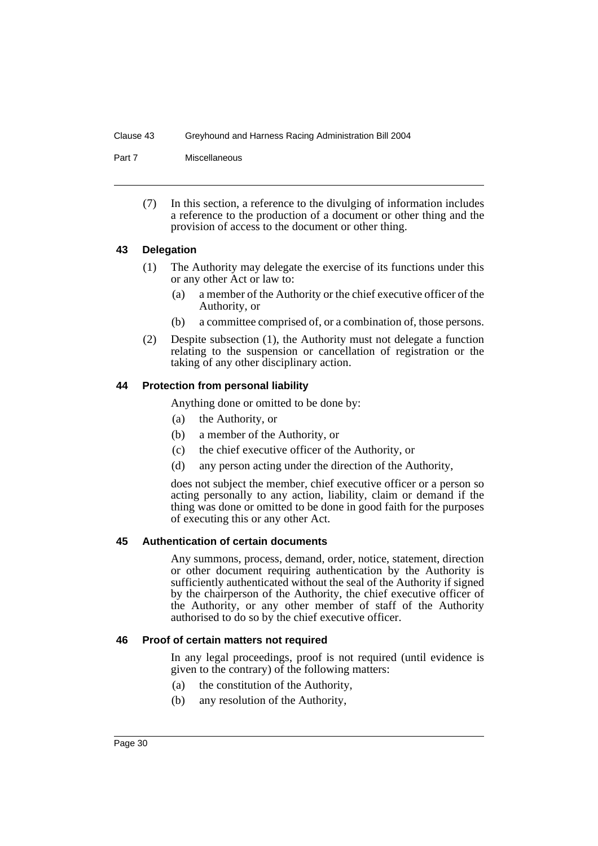Part 7 Miscellaneous

(7) In this section, a reference to the divulging of information includes a reference to the production of a document or other thing and the provision of access to the document or other thing.

#### **43 Delegation**

- (1) The Authority may delegate the exercise of its functions under this or any other Act or law to:
	- (a) a member of the Authority or the chief executive officer of the Authority, or
	- (b) a committee comprised of, or a combination of, those persons.
- (2) Despite subsection (1), the Authority must not delegate a function relating to the suspension or cancellation of registration or the taking of any other disciplinary action.

#### **44 Protection from personal liability**

Anything done or omitted to be done by:

- (a) the Authority, or
- (b) a member of the Authority, or
- (c) the chief executive officer of the Authority, or
- (d) any person acting under the direction of the Authority,

does not subject the member, chief executive officer or a person so acting personally to any action, liability, claim or demand if the thing was done or omitted to be done in good faith for the purposes of executing this or any other Act.

#### **45 Authentication of certain documents**

Any summons, process, demand, order, notice, statement, direction or other document requiring authentication by the Authority is sufficiently authenticated without the seal of the Authority if signed by the chairperson of the Authority, the chief executive officer of the Authority, or any other member of staff of the Authority authorised to do so by the chief executive officer.

#### **46 Proof of certain matters not required**

In any legal proceedings, proof is not required (until evidence is given to the contrary) of the following matters:

- (a) the constitution of the Authority,
- (b) any resolution of the Authority,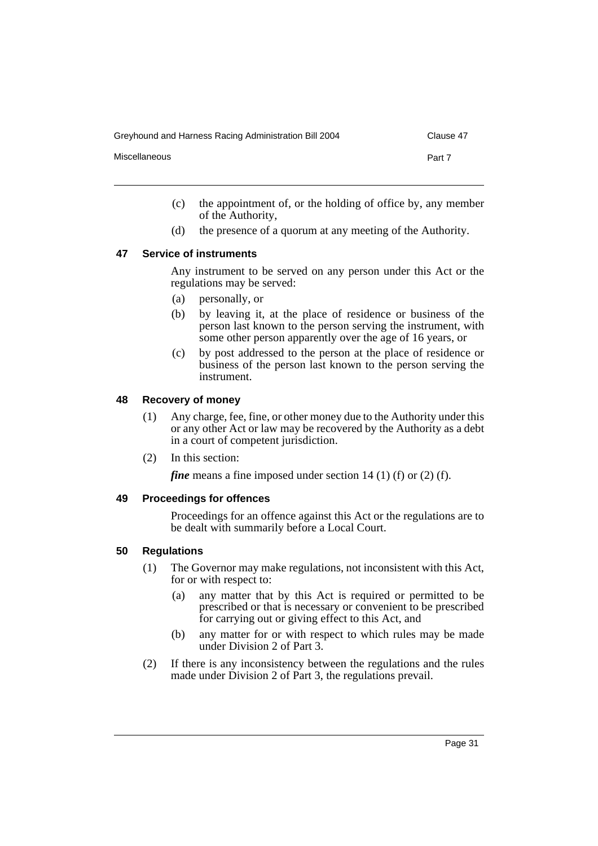Greyhound and Harness Racing Administration Bill 2004 Clause 47 Miscellaneous Part 7

- (c) the appointment of, or the holding of office by, any member of the Authority,
- (d) the presence of a quorum at any meeting of the Authority.

### **47 Service of instruments**

Any instrument to be served on any person under this Act or the regulations may be served:

- (a) personally, or
- (b) by leaving it, at the place of residence or business of the person last known to the person serving the instrument, with some other person apparently over the age of 16 years, or
- (c) by post addressed to the person at the place of residence or business of the person last known to the person serving the instrument.

### **48 Recovery of money**

- (1) Any charge, fee, fine, or other money due to the Authority under this or any other Act or law may be recovered by the Authority as a debt in a court of competent jurisdiction.
- (2) In this section:

*fine* means a fine imposed under section 14 (1) (f) or (2) (f).

### **49 Proceedings for offences**

Proceedings for an offence against this Act or the regulations are to be dealt with summarily before a Local Court.

### **50 Regulations**

- (1) The Governor may make regulations, not inconsistent with this Act, for or with respect to:
	- (a) any matter that by this Act is required or permitted to be prescribed or that is necessary or convenient to be prescribed for carrying out or giving effect to this Act, and
	- (b) any matter for or with respect to which rules may be made under Division 2 of Part 3.
- (2) If there is any inconsistency between the regulations and the rules made under Division 2 of Part 3, the regulations prevail.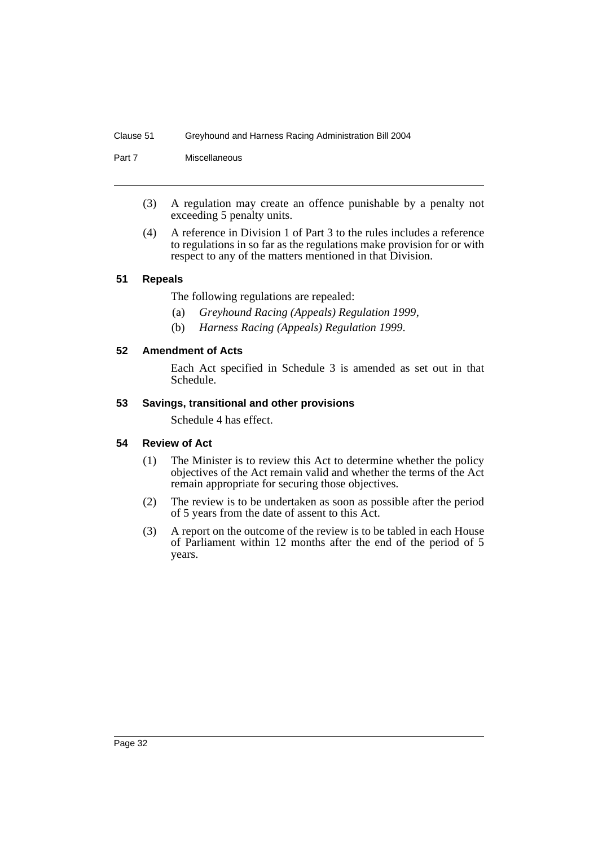Part 7 Miscellaneous

- (3) A regulation may create an offence punishable by a penalty not exceeding 5 penalty units.
- (4) A reference in Division 1 of Part 3 to the rules includes a reference to regulations in so far as the regulations make provision for or with respect to any of the matters mentioned in that Division.

#### **51 Repeals**

The following regulations are repealed:

- (a) *Greyhound Racing (Appeals) Regulation 1999*,
- (b) *Harness Racing (Appeals) Regulation 1999*.

### **52 Amendment of Acts**

Each Act specified in Schedule 3 is amended as set out in that Schedule.

#### **53 Savings, transitional and other provisions**

Schedule 4 has effect.

### **54 Review of Act**

- (1) The Minister is to review this Act to determine whether the policy objectives of the Act remain valid and whether the terms of the Act remain appropriate for securing those objectives.
- (2) The review is to be undertaken as soon as possible after the period of 5 years from the date of assent to this Act.
- (3) A report on the outcome of the review is to be tabled in each House of Parliament within 12 months after the end of the period of 5 years.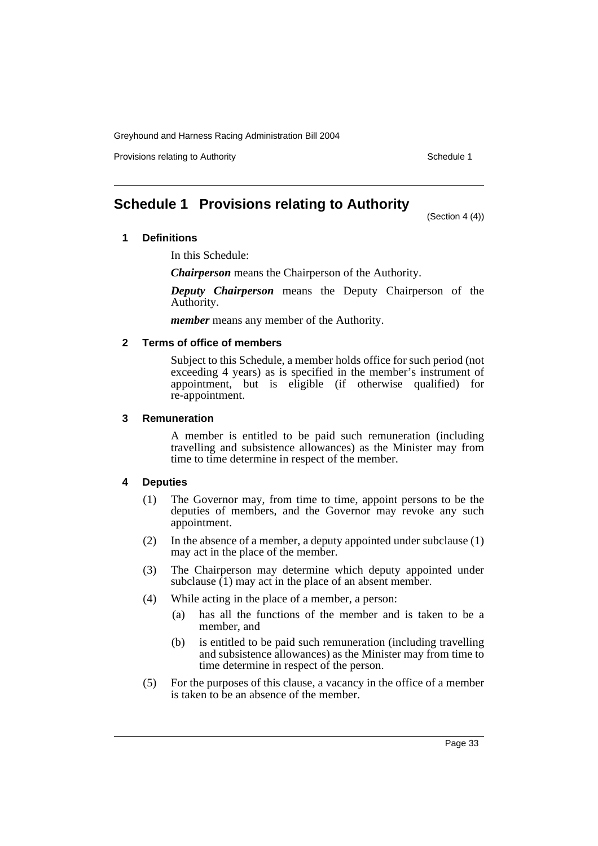Provisions relating to Authority **Schedule 1** and the Schedule 1

(Section 4 (4))

## **Schedule 1 Provisions relating to Authority**

### **1 Definitions**

In this Schedule:

*Chairperson* means the Chairperson of the Authority.

*Deputy Chairperson* means the Deputy Chairperson of the Authority.

*member* means any member of the Authority.

#### **2 Terms of office of members**

Subject to this Schedule, a member holds office for such period (not exceeding 4 years) as is specified in the member's instrument of appointment, but is eligible (if otherwise qualified) for re-appointment.

#### **3 Remuneration**

A member is entitled to be paid such remuneration (including travelling and subsistence allowances) as the Minister may from time to time determine in respect of the member.

### **4 Deputies**

- (1) The Governor may, from time to time, appoint persons to be the deputies of members, and the Governor may revoke any such appointment.
- (2) In the absence of a member, a deputy appointed under subclause (1) may act in the place of the member.
- (3) The Chairperson may determine which deputy appointed under subclause  $(1)$  may act in the place of an absent member.
- (4) While acting in the place of a member, a person:
	- (a) has all the functions of the member and is taken to be a member, and
	- (b) is entitled to be paid such remuneration (including travelling and subsistence allowances) as the Minister may from time to time determine in respect of the person.
- (5) For the purposes of this clause, a vacancy in the office of a member is taken to be an absence of the member.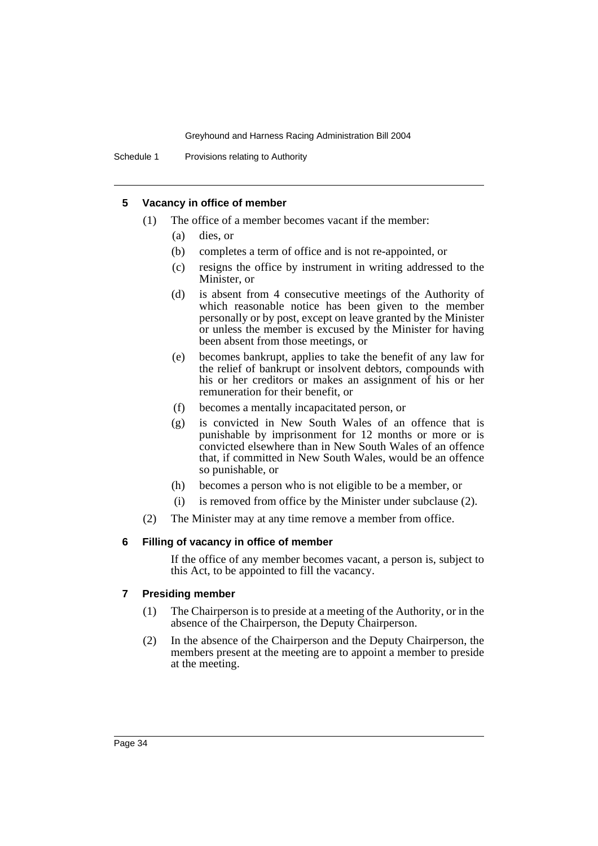### **5 Vacancy in office of member**

- (1) The office of a member becomes vacant if the member:
	- (a) dies, or
	- (b) completes a term of office and is not re-appointed, or
	- (c) resigns the office by instrument in writing addressed to the Minister, or
	- (d) is absent from 4 consecutive meetings of the Authority of which reasonable notice has been given to the member personally or by post, except on leave granted by the Minister or unless the member is excused by the Minister for having been absent from those meetings, or
	- (e) becomes bankrupt, applies to take the benefit of any law for the relief of bankrupt or insolvent debtors, compounds with his or her creditors or makes an assignment of his or her remuneration for their benefit, or
	- (f) becomes a mentally incapacitated person, or
	- (g) is convicted in New South Wales of an offence that is punishable by imprisonment for 12 months or more or is convicted elsewhere than in New South Wales of an offence that, if committed in New South Wales, would be an offence so punishable, or
	- (h) becomes a person who is not eligible to be a member, or
	- (i) is removed from office by the Minister under subclause (2).
- (2) The Minister may at any time remove a member from office.

#### **6 Filling of vacancy in office of member**

If the office of any member becomes vacant, a person is, subject to this Act, to be appointed to fill the vacancy.

#### **7 Presiding member**

- (1) The Chairperson is to preside at a meeting of the Authority, or in the absence of the Chairperson, the Deputy Chairperson.
- (2) In the absence of the Chairperson and the Deputy Chairperson, the members present at the meeting are to appoint a member to preside at the meeting.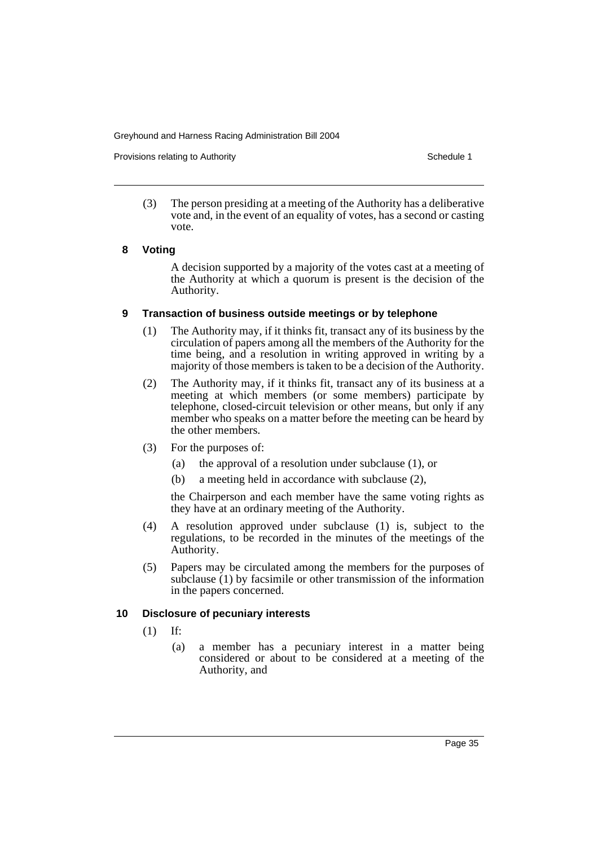Provisions relating to Authority **Schedule 1** and the Schedule 1

(3) The person presiding at a meeting of the Authority has a deliberative vote and, in the event of an equality of votes, has a second or casting vote.

### **8 Voting**

A decision supported by a majority of the votes cast at a meeting of the Authority at which a quorum is present is the decision of the Authority.

### **9 Transaction of business outside meetings or by telephone**

- (1) The Authority may, if it thinks fit, transact any of its business by the circulation of papers among all the members of the Authority for the time being, and a resolution in writing approved in writing by a majority of those members is taken to be a decision of the Authority.
- (2) The Authority may, if it thinks fit, transact any of its business at a meeting at which members (or some members) participate by telephone, closed-circuit television or other means, but only if any member who speaks on a matter before the meeting can be heard by the other members.
- (3) For the purposes of:
	- (a) the approval of a resolution under subclause (1), or
	- (b) a meeting held in accordance with subclause (2),

the Chairperson and each member have the same voting rights as they have at an ordinary meeting of the Authority.

- (4) A resolution approved under subclause (1) is, subject to the regulations, to be recorded in the minutes of the meetings of the Authority.
- (5) Papers may be circulated among the members for the purposes of subclause (1) by facsimile or other transmission of the information in the papers concerned.

### **10 Disclosure of pecuniary interests**

- (1) If:
	- (a) a member has a pecuniary interest in a matter being considered or about to be considered at a meeting of the Authority, and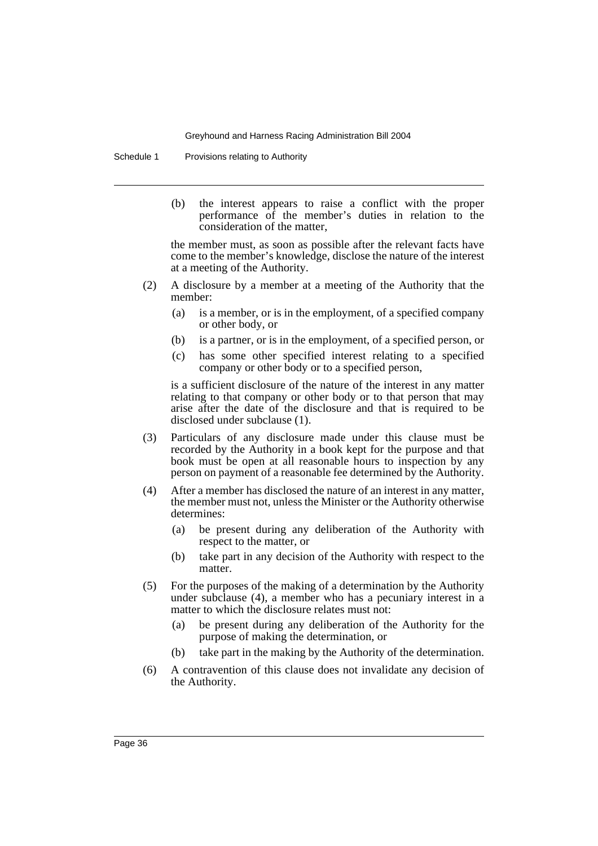Schedule 1 Provisions relating to Authority

(b) the interest appears to raise a conflict with the proper performance of the member's duties in relation to the consideration of the matter,

the member must, as soon as possible after the relevant facts have come to the member's knowledge, disclose the nature of the interest at a meeting of the Authority.

- (2) A disclosure by a member at a meeting of the Authority that the member:
	- (a) is a member, or is in the employment, of a specified company or other body, or
	- (b) is a partner, or is in the employment, of a specified person, or
	- (c) has some other specified interest relating to a specified company or other body or to a specified person,

is a sufficient disclosure of the nature of the interest in any matter relating to that company or other body or to that person that may arise after the date of the disclosure and that is required to be disclosed under subclause (1).

- (3) Particulars of any disclosure made under this clause must be recorded by the Authority in a book kept for the purpose and that book must be open at all reasonable hours to inspection by any person on payment of a reasonable fee determined by the Authority.
- (4) After a member has disclosed the nature of an interest in any matter, the member must not, unless the Minister or the Authority otherwise determines:
	- (a) be present during any deliberation of the Authority with respect to the matter, or
	- (b) take part in any decision of the Authority with respect to the matter.
- (5) For the purposes of the making of a determination by the Authority under subclause (4), a member who has a pecuniary interest in a matter to which the disclosure relates must not:
	- (a) be present during any deliberation of the Authority for the purpose of making the determination, or
	- (b) take part in the making by the Authority of the determination.
- (6) A contravention of this clause does not invalidate any decision of the Authority.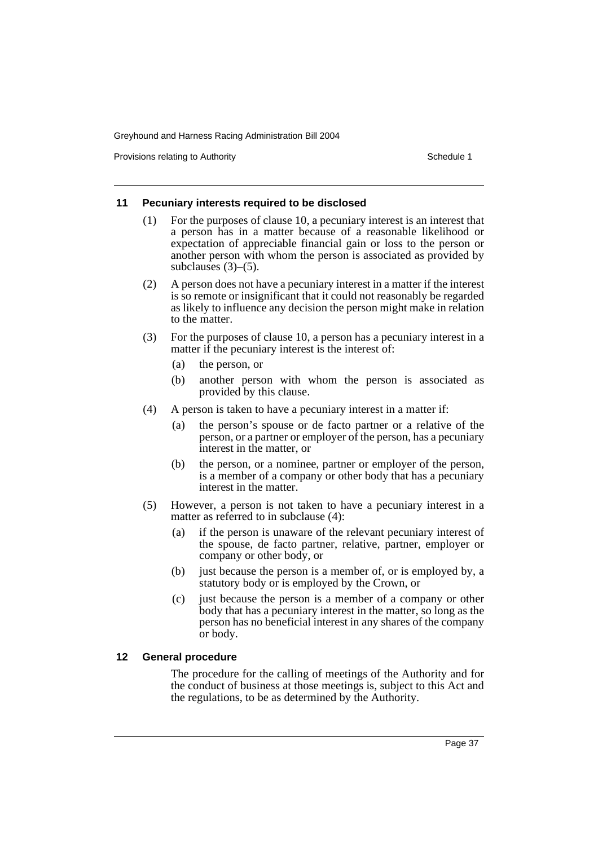Provisions relating to Authority **Schedule 1** and the Schedule 1

#### **11 Pecuniary interests required to be disclosed**

- (1) For the purposes of clause 10, a pecuniary interest is an interest that a person has in a matter because of a reasonable likelihood or expectation of appreciable financial gain or loss to the person or another person with whom the person is associated as provided by subclauses (3)–(5).
- (2) A person does not have a pecuniary interest in a matter if the interest is so remote or insignificant that it could not reasonably be regarded as likely to influence any decision the person might make in relation to the matter.
- (3) For the purposes of clause 10, a person has a pecuniary interest in a matter if the pecuniary interest is the interest of:
	- (a) the person, or
	- (b) another person with whom the person is associated as provided by this clause.
- (4) A person is taken to have a pecuniary interest in a matter if:
	- (a) the person's spouse or de facto partner or a relative of the person, or a partner or employer of the person, has a pecuniary interest in the matter, or
	- (b) the person, or a nominee, partner or employer of the person, is a member of a company or other body that has a pecuniary interest in the matter.
- (5) However, a person is not taken to have a pecuniary interest in a matter as referred to in subclause (4):
	- (a) if the person is unaware of the relevant pecuniary interest of the spouse, de facto partner, relative, partner, employer or company or other body, or
	- (b) just because the person is a member of, or is employed by, a statutory body or is employed by the Crown, or
	- (c) just because the person is a member of a company or other body that has a pecuniary interest in the matter, so long as the person has no beneficial interest in any shares of the company or body.

### **12 General procedure**

The procedure for the calling of meetings of the Authority and for the conduct of business at those meetings is, subject to this Act and the regulations, to be as determined by the Authority.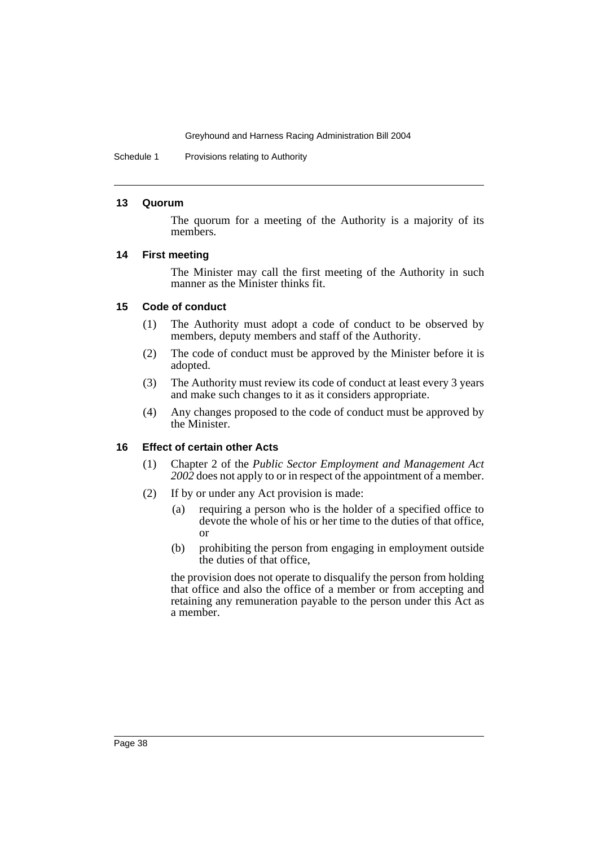#### **13 Quorum**

The quorum for a meeting of the Authority is a majority of its members.

### **14 First meeting**

The Minister may call the first meeting of the Authority in such manner as the Minister thinks fit.

### **15 Code of conduct**

- (1) The Authority must adopt a code of conduct to be observed by members, deputy members and staff of the Authority.
- (2) The code of conduct must be approved by the Minister before it is adopted.
- (3) The Authority must review its code of conduct at least every 3 years and make such changes to it as it considers appropriate.
- (4) Any changes proposed to the code of conduct must be approved by the Minister.

### **16 Effect of certain other Acts**

- (1) Chapter 2 of the *Public Sector Employment and Management Act 2002* does not apply to or in respect of the appointment of a member.
- (2) If by or under any Act provision is made:
	- (a) requiring a person who is the holder of a specified office to devote the whole of his or her time to the duties of that office, or
	- (b) prohibiting the person from engaging in employment outside the duties of that office,

the provision does not operate to disqualify the person from holding that office and also the office of a member or from accepting and retaining any remuneration payable to the person under this Act as a member.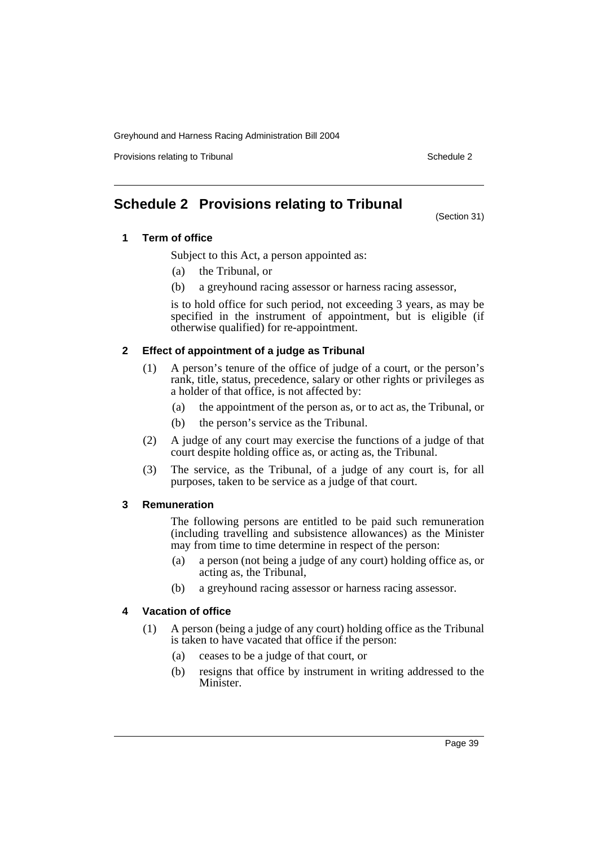Provisions relating to Tribunal and Schedule 2

(Section 31)

## **Schedule 2 Provisions relating to Tribunal**

### **1 Term of office**

Subject to this Act, a person appointed as:

- (a) the Tribunal, or
- (b) a greyhound racing assessor or harness racing assessor,

is to hold office for such period, not exceeding 3 years, as may be specified in the instrument of appointment, but is eligible (if otherwise qualified) for re-appointment.

### **2 Effect of appointment of a judge as Tribunal**

- (1) A person's tenure of the office of judge of a court, or the person's rank, title, status, precedence, salary or other rights or privileges as a holder of that office, is not affected by:
	- (a) the appointment of the person as, or to act as, the Tribunal, or
	- (b) the person's service as the Tribunal.
- (2) A judge of any court may exercise the functions of a judge of that court despite holding office as, or acting as, the Tribunal.
- (3) The service, as the Tribunal, of a judge of any court is, for all purposes, taken to be service as a judge of that court.

### **3 Remuneration**

The following persons are entitled to be paid such remuneration (including travelling and subsistence allowances) as the Minister may from time to time determine in respect of the person:

- (a) a person (not being a judge of any court) holding office as, or acting as, the Tribunal,
- (b) a greyhound racing assessor or harness racing assessor.

### **4 Vacation of office**

- (1) A person (being a judge of any court) holding office as the Tribunal is taken to have vacated that office if the person:
	- (a) ceases to be a judge of that court, or
	- (b) resigns that office by instrument in writing addressed to the Minister.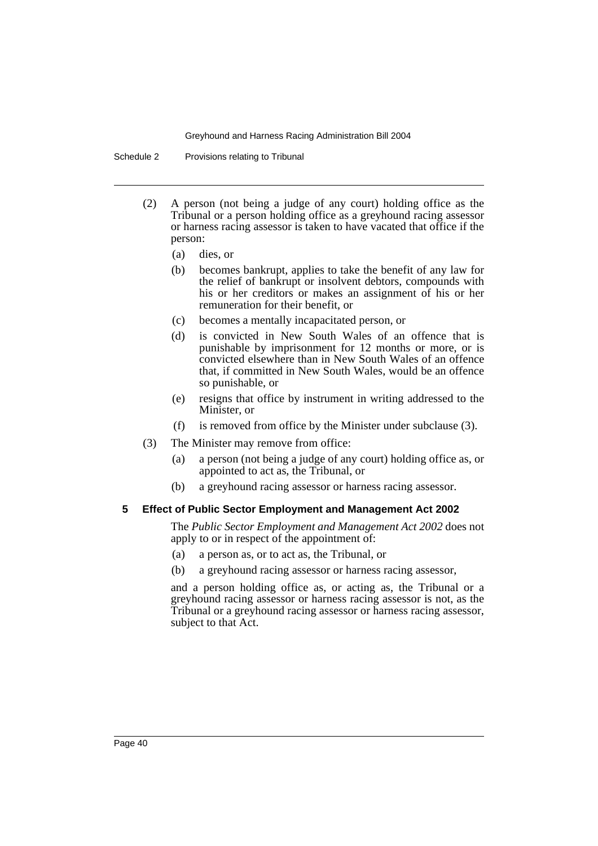Schedule 2 Provisions relating to Tribunal

- (2) A person (not being a judge of any court) holding office as the Tribunal or a person holding office as a greyhound racing assessor or harness racing assessor is taken to have vacated that office if the person:
	- (a) dies, or
	- (b) becomes bankrupt, applies to take the benefit of any law for the relief of bankrupt or insolvent debtors, compounds with his or her creditors or makes an assignment of his or her remuneration for their benefit, or
	- (c) becomes a mentally incapacitated person, or
	- (d) is convicted in New South Wales of an offence that is punishable by imprisonment for 12 months or more, or is convicted elsewhere than in New South Wales of an offence that, if committed in New South Wales, would be an offence so punishable, or
	- (e) resigns that office by instrument in writing addressed to the Minister, or
	- (f) is removed from office by the Minister under subclause (3).
- (3) The Minister may remove from office:
	- (a) a person (not being a judge of any court) holding office as, or appointed to act as, the Tribunal, or
	- (b) a greyhound racing assessor or harness racing assessor.

### **5 Effect of Public Sector Employment and Management Act 2002**

The *Public Sector Employment and Management Act 2002* does not apply to or in respect of the appointment of:

- (a) a person as, or to act as, the Tribunal, or
- (b) a greyhound racing assessor or harness racing assessor,

and a person holding office as, or acting as, the Tribunal or a greyhound racing assessor or harness racing assessor is not, as the Tribunal or a greyhound racing assessor or harness racing assessor, subject to that Act.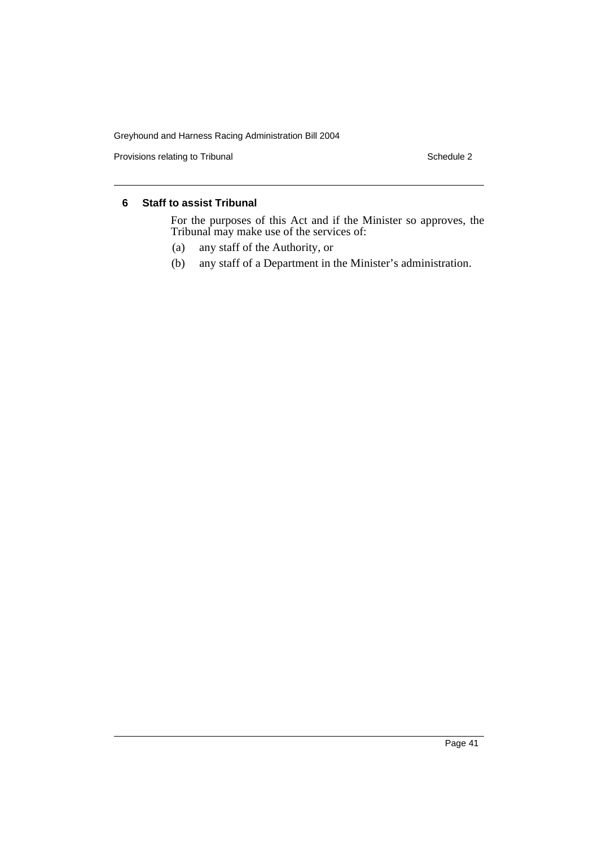Provisions relating to Tribunal and Schedule 2 and Schedule 2

### **6 Staff to assist Tribunal**

For the purposes of this Act and if the Minister so approves, the Tribunal may make use of the services of:

- (a) any staff of the Authority, or
- (b) any staff of a Department in the Minister's administration.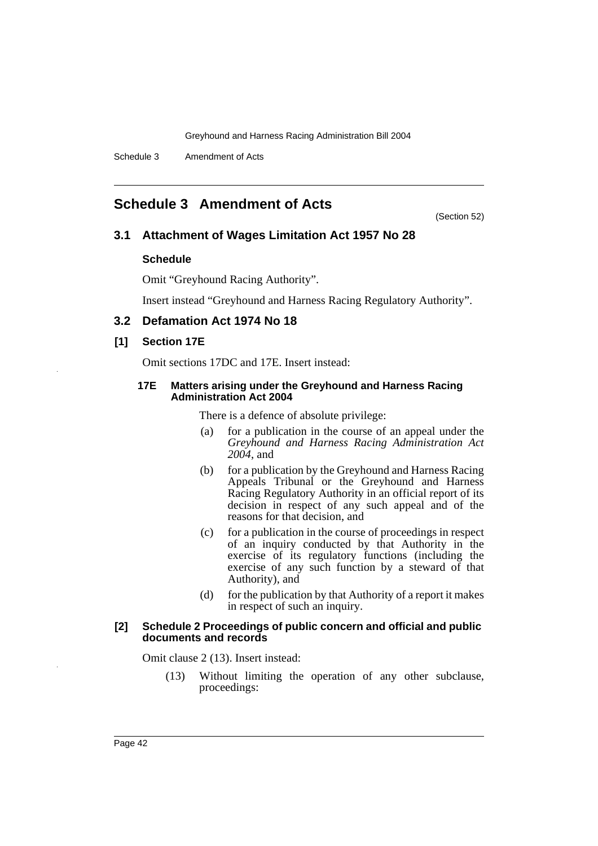Schedule 3 Amendment of Acts

### **Schedule 3 Amendment of Acts**

(Section 52)

### **3.1 Attachment of Wages Limitation Act 1957 No 28**

#### **Schedule**

Omit "Greyhound Racing Authority".

Insert instead "Greyhound and Harness Racing Regulatory Authority".

### **3.2 Defamation Act 1974 No 18**

#### **[1] Section 17E**

Omit sections 17DC and 17E. Insert instead:

#### **17E Matters arising under the Greyhound and Harness Racing Administration Act 2004**

There is a defence of absolute privilege:

- (a) for a publication in the course of an appeal under the *Greyhound and Harness Racing Administration Act 2004*, and
- (b) for a publication by the Greyhound and Harness Racing Appeals Tribunal or the Greyhound and Harness Racing Regulatory Authority in an official report of its decision in respect of any such appeal and of the reasons for that decision, and
- (c) for a publication in the course of proceedings in respect of an inquiry conducted by that Authority in the exercise of its regulatory functions (including the exercise of any such function by a steward of that Authority), and
- (d) for the publication by that Authority of a report it makes in respect of such an inquiry.

#### **[2] Schedule 2 Proceedings of public concern and official and public documents and records**

Omit clause 2 (13). Insert instead:

(13) Without limiting the operation of any other subclause, proceedings: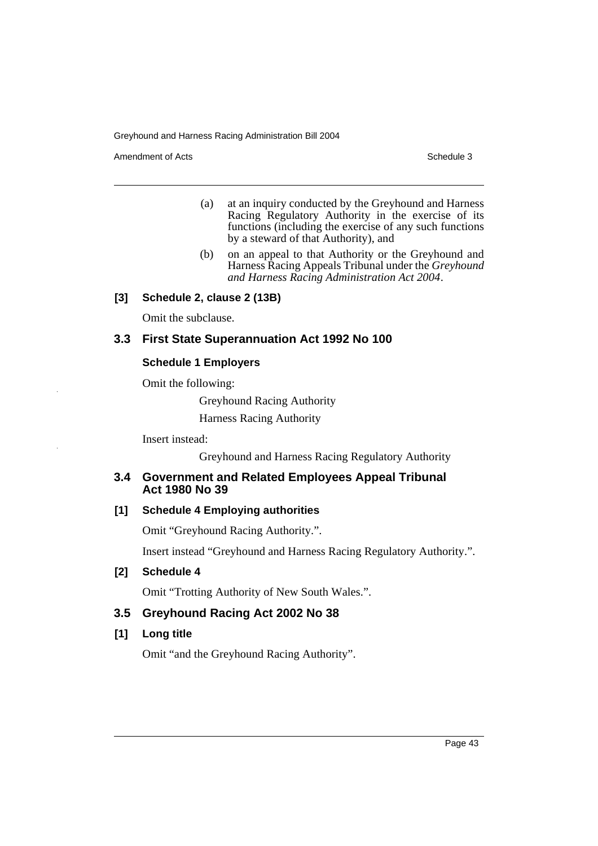Amendment of Acts **Schedule 3** and the 3 set of Acts Schedule 3

- (a) at an inquiry conducted by the Greyhound and Harness Racing Regulatory Authority in the exercise of its functions (including the exercise of any such functions by a steward of that Authority), and
- (b) on an appeal to that Authority or the Greyhound and Harness Racing Appeals Tribunal under the *Greyhound and Harness Racing Administration Act 2004*.

### **[3] Schedule 2, clause 2 (13B)**

Omit the subclause.

### **3.3 First State Superannuation Act 1992 No 100**

#### **Schedule 1 Employers**

Omit the following:

Greyhound Racing Authority

Harness Racing Authority

Insert instead:

Greyhound and Harness Racing Regulatory Authority

### **3.4 Government and Related Employees Appeal Tribunal Act 1980 No 39**

### **[1] Schedule 4 Employing authorities**

Omit "Greyhound Racing Authority.".

Insert instead "Greyhound and Harness Racing Regulatory Authority.".

### **[2] Schedule 4**

Omit "Trotting Authority of New South Wales.".

### **3.5 Greyhound Racing Act 2002 No 38**

### **[1] Long title**

Omit "and the Greyhound Racing Authority".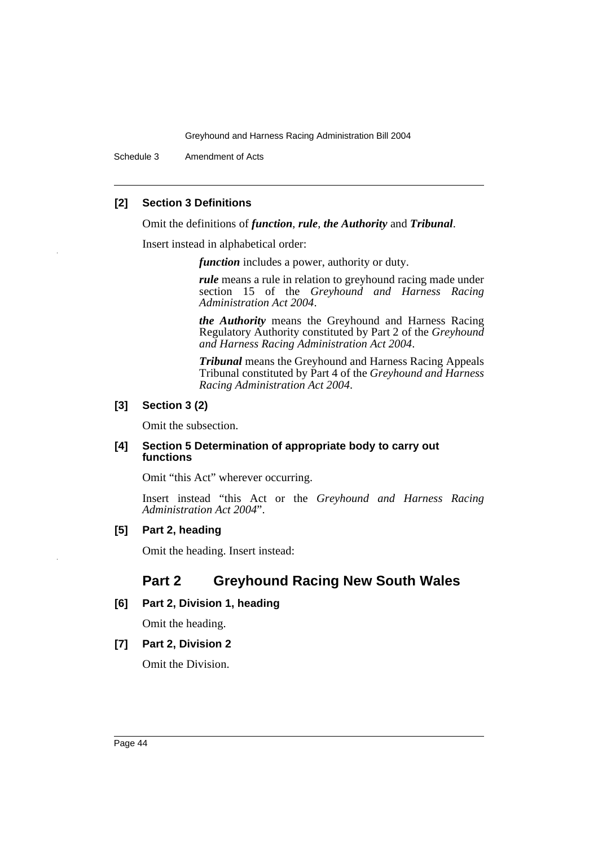Schedule 3 Amendment of Acts

### **[2] Section 3 Definitions**

Omit the definitions of *function*, *rule*, *the Authority* and *Tribunal*.

Insert instead in alphabetical order:

*function* includes a power, authority or duty.

*rule* means a rule in relation to greyhound racing made under section 15 of the *Greyhound and Harness Racing Administration Act 2004*.

*the Authority* means the Greyhound and Harness Racing Regulatory Authority constituted by Part 2 of the *Greyhound and Harness Racing Administration Act 2004*.

*Tribunal* means the Greyhound and Harness Racing Appeals Tribunal constituted by Part 4 of the *Greyhound and Harness Racing Administration Act 2004*.

#### **[3] Section 3 (2)**

Omit the subsection.

#### **[4] Section 5 Determination of appropriate body to carry out functions**

Omit "this Act" wherever occurring.

Insert instead "this Act or the *Greyhound and Harness Racing Administration Act 2004*".

### **[5] Part 2, heading**

Omit the heading. Insert instead:

### **Part 2 Greyhound Racing New South Wales**

### **[6] Part 2, Division 1, heading**

Omit the heading.

**[7] Part 2, Division 2**

Omit the Division.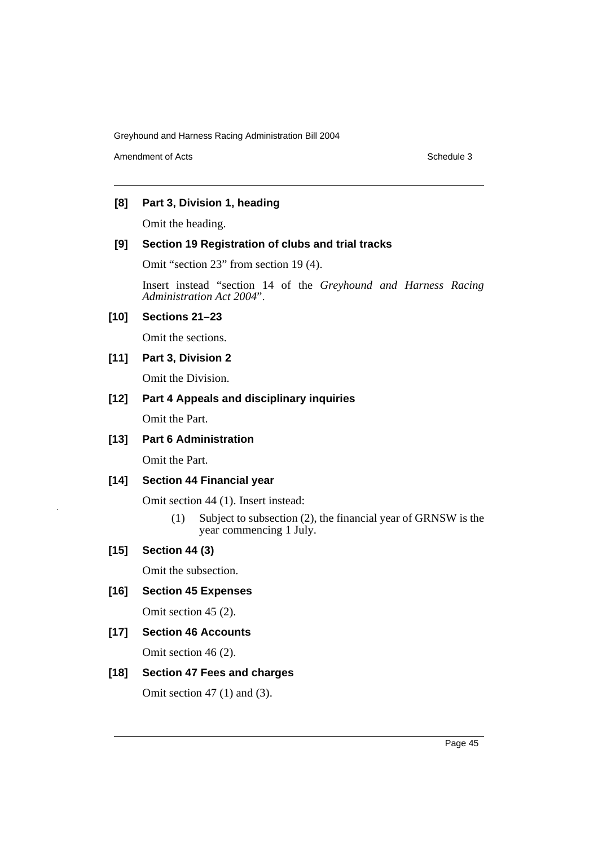Amendment of Acts **Schedule 3** and the 3 set of Acts Schedule 3

### **[8] Part 3, Division 1, heading**

Omit the heading.

### **[9] Section 19 Registration of clubs and trial tracks**

Omit "section 23" from section 19 (4).

Insert instead "section 14 of the *Greyhound and Harness Racing Administration Act 2004*".

### **[10] Sections 21–23**

Omit the sections.

### **[11] Part 3, Division 2**

Omit the Division.

### **[12] Part 4 Appeals and disciplinary inquiries**

Omit the Part.

**[13] Part 6 Administration**

Omit the Part.

### **[14] Section 44 Financial year**

Omit section 44 (1). Insert instead:

(1) Subject to subsection (2), the financial year of GRNSW is the year commencing 1 July.

### **[15] Section 44 (3)**

Omit the subsection.

### **[16] Section 45 Expenses**

Omit section 45 (2).

### **[17] Section 46 Accounts**

Omit section 46 (2).

### **[18] Section 47 Fees and charges**

Omit section 47 (1) and (3).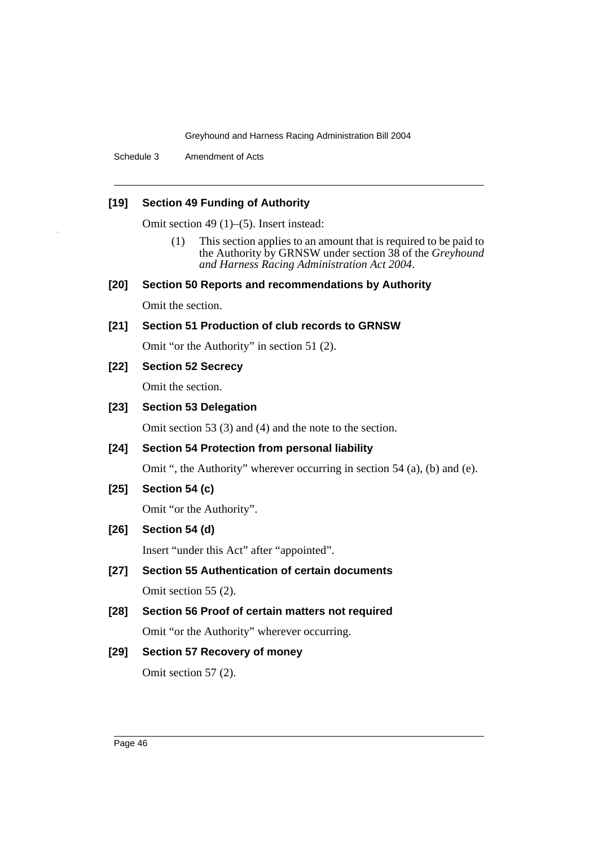Schedule 3 Amendment of Acts

### **[19] Section 49 Funding of Authority**

Omit section 49 (1)–(5). Insert instead:

- (1) This section applies to an amount that is required to be paid to the Authority by GRNSW under section 38 of the *Greyhound and Harness Racing Administration Act 2004*.
- **[20] Section 50 Reports and recommendations by Authority**

Omit the section.

### **[21] Section 51 Production of club records to GRNSW**

Omit "or the Authority" in section 51 (2).

### **[22] Section 52 Secrecy**

Omit the section.

### **[23] Section 53 Delegation**

Omit section 53 (3) and (4) and the note to the section.

### **[24] Section 54 Protection from personal liability**

Omit ", the Authority" wherever occurring in section 54 (a), (b) and (e).

### **[25] Section 54 (c)**

Omit "or the Authority".

### **[26] Section 54 (d)**

Insert "under this Act" after "appointed".

# **[27] Section 55 Authentication of certain documents**

Omit section 55 (2).

# **[28] Section 56 Proof of certain matters not required**

Omit "or the Authority" wherever occurring.

### **[29] Section 57 Recovery of money**

Omit section 57 (2).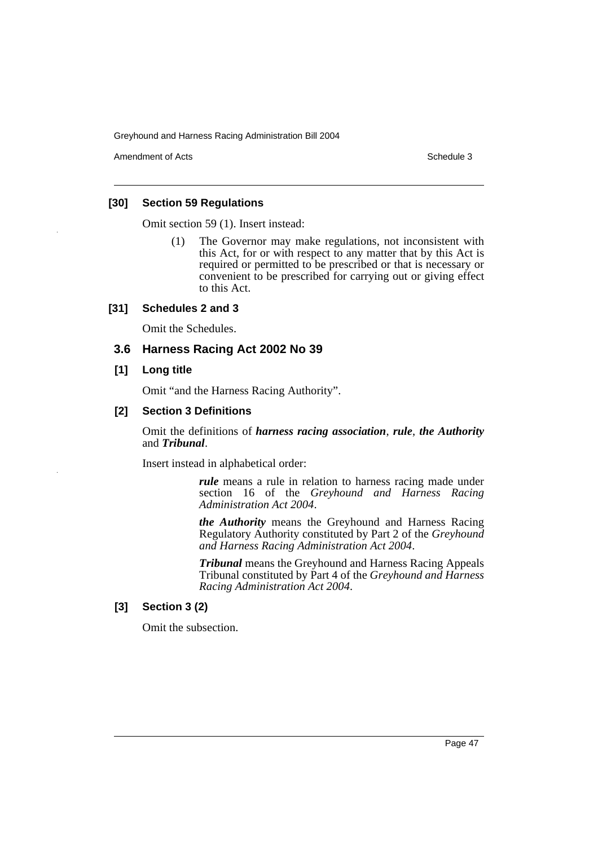Amendment of Acts **Schedule 3** and  $\overline{a}$  3 and  $\overline{b}$  3 and  $\overline{b}$  3 and  $\overline{a}$  3 and  $\overline{b}$  3 and  $\overline{a}$  3 and  $\overline{a}$  3 and  $\overline{a}$  3 and  $\overline{a}$  3 and  $\overline{a}$  3 and  $\overline{a}$  3 and  $\overline{a}$  3 and  $\overline{a}$ 

### **[30] Section 59 Regulations**

Omit section 59 (1). Insert instead:

(1) The Governor may make regulations, not inconsistent with this Act, for or with respect to any matter that by this Act is required or permitted to be prescribed or that is necessary or convenient to be prescribed for carrying out or giving effect to this Act.

### **[31] Schedules 2 and 3**

Omit the Schedules.

### **3.6 Harness Racing Act 2002 No 39**

### **[1] Long title**

Omit "and the Harness Racing Authority".

### **[2] Section 3 Definitions**

Omit the definitions of *harness racing association*, *rule*, *the Authority* and *Tribunal*.

Insert instead in alphabetical order:

*rule* means a rule in relation to harness racing made under section 16 of the *Greyhound and Harness Racing Administration Act 2004*.

*the Authority* means the Greyhound and Harness Racing Regulatory Authority constituted by Part 2 of the *Greyhound and Harness Racing Administration Act 2004*.

*Tribunal* means the Greyhound and Harness Racing Appeals Tribunal constituted by Part 4 of the *Greyhound and Harness Racing Administration Act 2004*.

### **[3] Section 3 (2)**

Omit the subsection.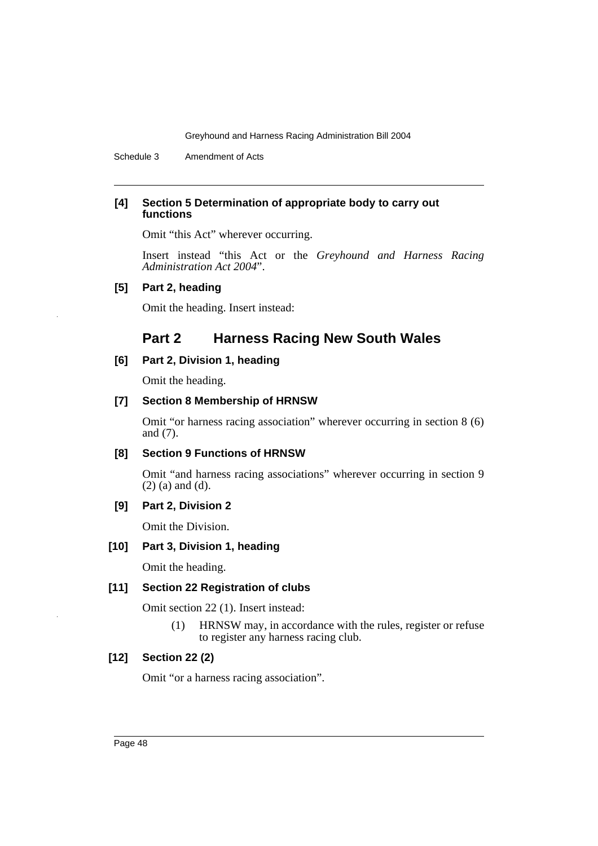Schedule 3 Amendment of Acts

### **[4] Section 5 Determination of appropriate body to carry out functions**

Omit "this Act" wherever occurring.

Insert instead "this Act or the *Greyhound and Harness Racing Administration Act 2004*".

### **[5] Part 2, heading**

Omit the heading. Insert instead:

## **Part 2 Harness Racing New South Wales**

### **[6] Part 2, Division 1, heading**

Omit the heading.

### **[7] Section 8 Membership of HRNSW**

Omit "or harness racing association" wherever occurring in section 8 (6) and (7).

### **[8] Section 9 Functions of HRNSW**

Omit "and harness racing associations" wherever occurring in section 9 (2) (a) and (d).

**[9] Part 2, Division 2**

Omit the Division.

### **[10] Part 3, Division 1, heading**

Omit the heading.

### **[11] Section 22 Registration of clubs**

Omit section 22 (1). Insert instead:

(1) HRNSW may, in accordance with the rules, register or refuse to register any harness racing club.

### **[12] Section 22 (2)**

Omit "or a harness racing association".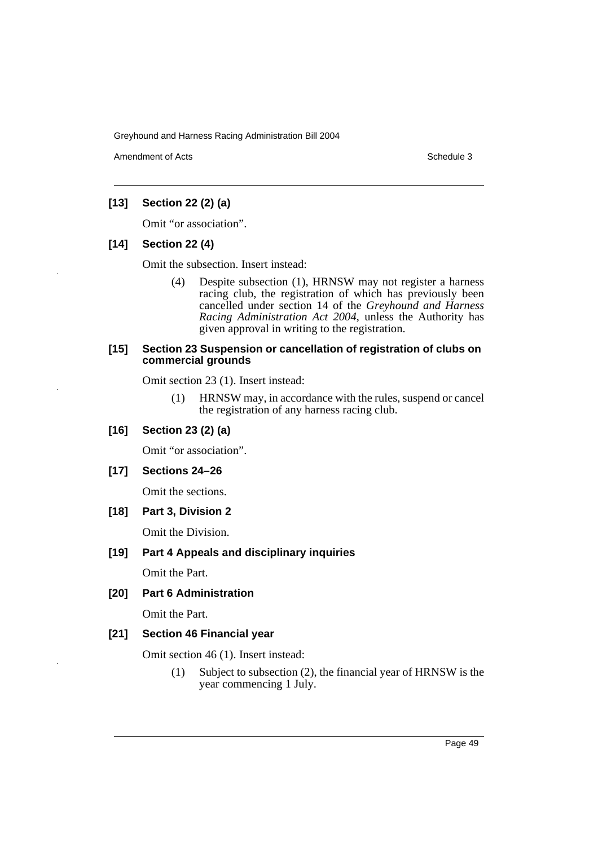Amendment of Acts **Schedule 3** and the 3 set of Acts Schedule 3

### **[13] Section 22 (2) (a)**

Omit "or association".

### **[14] Section 22 (4)**

Omit the subsection. Insert instead:

(4) Despite subsection (1), HRNSW may not register a harness racing club, the registration of which has previously been cancelled under section 14 of the *Greyhound and Harness Racing Administration Act 2004*, unless the Authority has given approval in writing to the registration.

#### **[15] Section 23 Suspension or cancellation of registration of clubs on commercial grounds**

Omit section 23 (1). Insert instead:

(1) HRNSW may, in accordance with the rules, suspend or cancel the registration of any harness racing club.

### **[16] Section 23 (2) (a)**

Omit "or association".

### **[17] Sections 24–26**

Omit the sections.

### **[18] Part 3, Division 2**

Omit the Division.

### **[19] Part 4 Appeals and disciplinary inquiries**

Omit the Part.

### **[20] Part 6 Administration**

Omit the Part.

### **[21] Section 46 Financial year**

Omit section 46 (1). Insert instead:

(1) Subject to subsection (2), the financial year of HRNSW is the year commencing 1 July.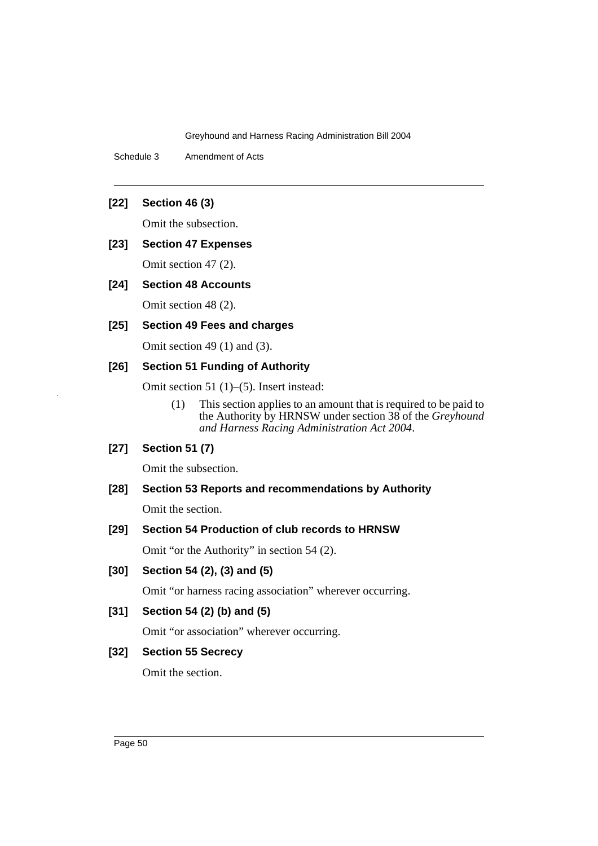Schedule 3 Amendment of Acts

### **[22] Section 46 (3)**

Omit the subsection.

### **[23] Section 47 Expenses**

Omit section 47 (2).

### **[24] Section 48 Accounts**

Omit section 48 (2).

### **[25] Section 49 Fees and charges**

Omit section 49 (1) and (3).

### **[26] Section 51 Funding of Authority**

Omit section 51 (1)–(5). Insert instead:

(1) This section applies to an amount that is required to be paid to the Authority by HRNSW under section 38 of the *Greyhound and Harness Racing Administration Act 2004*.

### **[27] Section 51 (7)**

Omit the subsection.

### **[28] Section 53 Reports and recommendations by Authority**

Omit the section.

### **[29] Section 54 Production of club records to HRNSW**

Omit "or the Authority" in section 54 (2).

### **[30] Section 54 (2), (3) and (5)**

Omit "or harness racing association" wherever occurring.

### **[31] Section 54 (2) (b) and (5)**

Omit "or association" wherever occurring.

### **[32] Section 55 Secrecy**

Omit the section.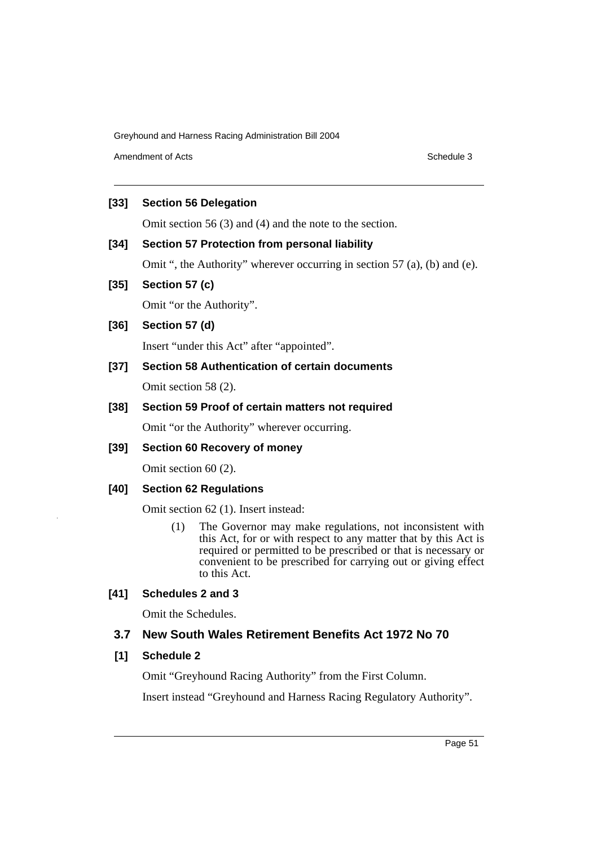Amendment of Acts **Schedule 3** and the 3 set of Acts Schedule 3

### **[33] Section 56 Delegation**

Omit section 56 (3) and (4) and the note to the section.

### **[34] Section 57 Protection from personal liability**

Omit ", the Authority" wherever occurring in section 57 (a), (b) and (e).

### **[35] Section 57 (c)**

Omit "or the Authority".

### **[36] Section 57 (d)**

Insert "under this Act" after "appointed".

### **[37] Section 58 Authentication of certain documents**

Omit section 58 (2).

### **[38] Section 59 Proof of certain matters not required**

Omit "or the Authority" wherever occurring.

### **[39] Section 60 Recovery of money**

Omit section 60 (2).

### **[40] Section 62 Regulations**

Omit section 62 (1). Insert instead:

(1) The Governor may make regulations, not inconsistent with this Act, for or with respect to any matter that by this Act is required or permitted to be prescribed or that is necessary or convenient to be prescribed for carrying out or giving effect to this Act.

### **[41] Schedules 2 and 3**

Omit the Schedules.

### **3.7 New South Wales Retirement Benefits Act 1972 No 70**

### **[1] Schedule 2**

Omit "Greyhound Racing Authority" from the First Column.

Insert instead "Greyhound and Harness Racing Regulatory Authority".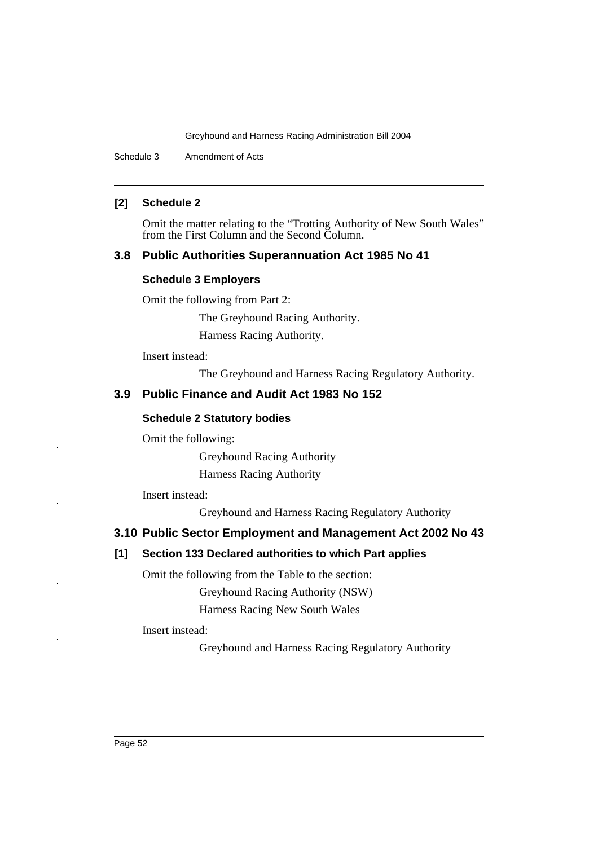Schedule 3 Amendment of Acts

### **[2] Schedule 2**

Omit the matter relating to the "Trotting Authority of New South Wales" from the First Column and the Second Column.

### **3.8 Public Authorities Superannuation Act 1985 No 41**

### **Schedule 3 Employers**

Omit the following from Part 2:

The Greyhound Racing Authority.

Harness Racing Authority.

Insert instead:

The Greyhound and Harness Racing Regulatory Authority.

### **3.9 Public Finance and Audit Act 1983 No 152**

### **Schedule 2 Statutory bodies**

Omit the following:

Greyhound Racing Authority Harness Racing Authority

Insert instead:

Greyhound and Harness Racing Regulatory Authority

#### **3.10 Public Sector Employment and Management Act 2002 No 43**

### **[1] Section 133 Declared authorities to which Part applies**

Omit the following from the Table to the section:

Greyhound Racing Authority (NSW)

Harness Racing New South Wales

Insert instead:

Greyhound and Harness Racing Regulatory Authority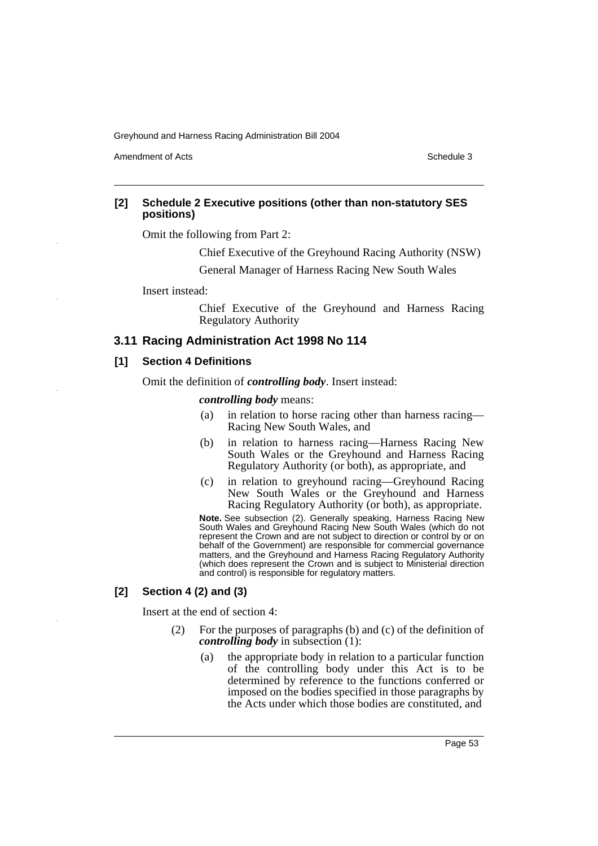Amendment of Acts **Schedule 3** and  $\overline{a}$  3 and  $\overline{b}$  3 and  $\overline{b}$  3 and  $\overline{a}$  3 and  $\overline{b}$  3 and  $\overline{a}$  3 and  $\overline{a}$  3 and  $\overline{a}$  3 and  $\overline{a}$  3 and  $\overline{a}$  3 and  $\overline{a}$  3 and  $\overline{a}$  3 and  $\overline{a}$ 

### **[2] Schedule 2 Executive positions (other than non-statutory SES positions)**

Omit the following from Part 2:

Chief Executive of the Greyhound Racing Authority (NSW)

General Manager of Harness Racing New South Wales

Insert instead:

Chief Executive of the Greyhound and Harness Racing Regulatory Authority

#### **3.11 Racing Administration Act 1998 No 114**

#### **[1] Section 4 Definitions**

Omit the definition of *controlling body*. Insert instead:

*controlling body* means:

- (a) in relation to horse racing other than harness racing— Racing New South Wales, and
- (b) in relation to harness racing—Harness Racing New South Wales or the Greyhound and Harness Racing Regulatory Authority (or both), as appropriate, and
- (c) in relation to greyhound racing—Greyhound Racing New South Wales or the Greyhound and Harness Racing Regulatory Authority (or both), as appropriate.

**Note.** See subsection (2). Generally speaking, Harness Racing New South Wales and Greyhound Racing New South Wales (which do not represent the Crown and are not subject to direction or control by or on behalf of the Government) are responsible for commercial governance matters, and the Greyhound and Harness Racing Regulatory Authority (which does represent the Crown and is subject to Ministerial direction and control) is responsible for regulatory matters.

### **[2] Section 4 (2) and (3)**

Insert at the end of section 4:

- (2) For the purposes of paragraphs (b) and (c) of the definition of *controlling body* in subsection (1):
	- (a) the appropriate body in relation to a particular function of the controlling body under this Act is to be determined by reference to the functions conferred or imposed on the bodies specified in those paragraphs by the Acts under which those bodies are constituted, and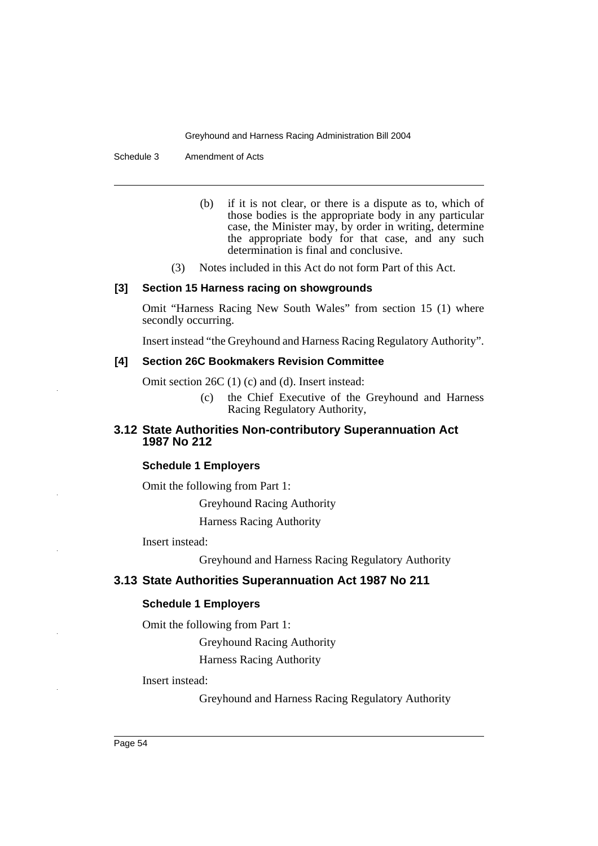Schedule 3 Amendment of Acts

- (b) if it is not clear, or there is a dispute as to, which of those bodies is the appropriate body in any particular case, the Minister may, by order in writing, determine the appropriate body for that case, and any such determination is final and conclusive.
- (3) Notes included in this Act do not form Part of this Act.

#### **[3] Section 15 Harness racing on showgrounds**

Omit "Harness Racing New South Wales" from section 15 (1) where secondly occurring.

Insert instead "the Greyhound and Harness Racing Regulatory Authority".

### **[4] Section 26C Bookmakers Revision Committee**

Omit section 26C (1) (c) and (d). Insert instead:

(c) the Chief Executive of the Greyhound and Harness Racing Regulatory Authority,

### **3.12 State Authorities Non-contributory Superannuation Act 1987 No 212**

#### **Schedule 1 Employers**

Omit the following from Part 1:

Greyhound Racing Authority

Harness Racing Authority

Insert instead:

Greyhound and Harness Racing Regulatory Authority

### **3.13 State Authorities Superannuation Act 1987 No 211**

#### **Schedule 1 Employers**

Omit the following from Part 1:

Greyhound Racing Authority

Harness Racing Authority

Insert instead:

Greyhound and Harness Racing Regulatory Authority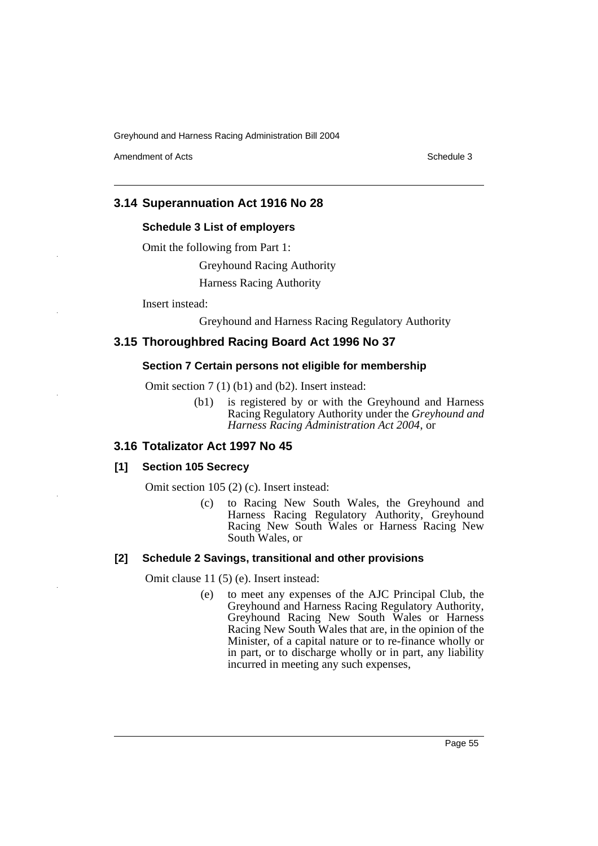Amendment of Acts **Schedule 3** and  $\overline{a}$  3 and  $\overline{b}$  3 and  $\overline{b}$  3 and  $\overline{a}$  3 and  $\overline{b}$  3 and  $\overline{a}$  3 and  $\overline{a}$  3 and  $\overline{a}$  3 and  $\overline{a}$  3 and  $\overline{a}$  3 and  $\overline{a}$  3 and  $\overline{a}$  3 and  $\overline{a}$ 

### **3.14 Superannuation Act 1916 No 28**

#### **Schedule 3 List of employers**

Omit the following from Part 1:

Greyhound Racing Authority

Harness Racing Authority

Insert instead:

Greyhound and Harness Racing Regulatory Authority

### **3.15 Thoroughbred Racing Board Act 1996 No 37**

#### **Section 7 Certain persons not eligible for membership**

Omit section 7 (1) (b1) and (b2). Insert instead:

(b1) is registered by or with the Greyhound and Harness Racing Regulatory Authority under the *Greyhound and Harness Racing Administration Act 2004*, or

### **3.16 Totalizator Act 1997 No 45**

### **[1] Section 105 Secrecy**

Omit section 105 (2) (c). Insert instead:

(c) to Racing New South Wales, the Greyhound and Harness Racing Regulatory Authority, Greyhound Racing New South Wales or Harness Racing New South Wales, or

### **[2] Schedule 2 Savings, transitional and other provisions**

Omit clause 11 (5) (e). Insert instead:

(e) to meet any expenses of the AJC Principal Club, the Greyhound and Harness Racing Regulatory Authority, Greyhound Racing New South Wales or Harness Racing New South Wales that are, in the opinion of the Minister, of a capital nature or to re-finance wholly or in part, or to discharge wholly or in part, any liability incurred in meeting any such expenses,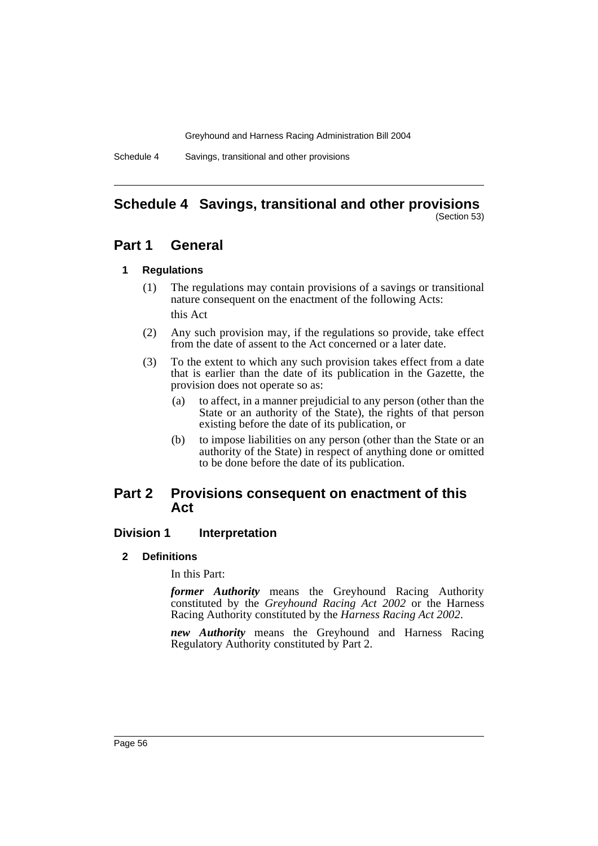Schedule 4 Savings, transitional and other provisions

#### **Schedule 4 Savings, transitional and other provisions** (Section 53)

### **Part 1 General**

### **1 Regulations**

- (1) The regulations may contain provisions of a savings or transitional nature consequent on the enactment of the following Acts: this Act
- (2) Any such provision may, if the regulations so provide, take effect from the date of assent to the Act concerned or a later date.
- (3) To the extent to which any such provision takes effect from a date that is earlier than the date of its publication in the Gazette, the provision does not operate so as:
	- (a) to affect, in a manner prejudicial to any person (other than the State or an authority of the State), the rights of that person existing before the date of its publication, or
	- (b) to impose liabilities on any person (other than the State or an authority of the State) in respect of anything done or omitted to be done before the date of its publication.

### **Part 2 Provisions consequent on enactment of this Act**

### **Division 1** Interpretation

### **2 Definitions**

In this Part:

*former Authority* means the Greyhound Racing Authority constituted by the *Greyhound Racing Act 2002* or the Harness Racing Authority constituted by the *Harness Racing Act 2002*.

*new Authority* means the Greyhound and Harness Racing Regulatory Authority constituted by Part 2.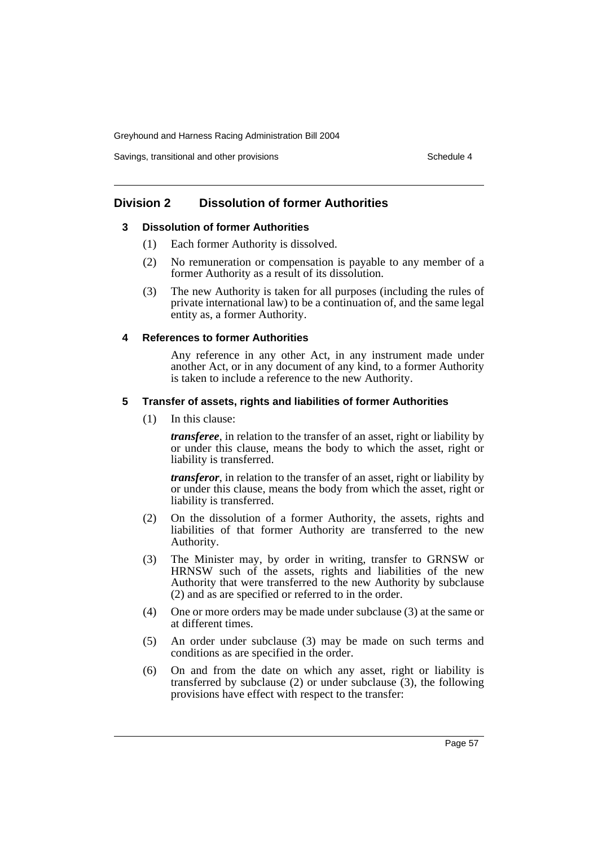Savings, transitional and other provisions Schedule 4 and the schedule 4 series Schedule 4

### **Division 2 Dissolution of former Authorities**

### **3 Dissolution of former Authorities**

- (1) Each former Authority is dissolved.
- (2) No remuneration or compensation is payable to any member of a former Authority as a result of its dissolution.
- (3) The new Authority is taken for all purposes (including the rules of private international law) to be a continuation of, and the same legal entity as, a former Authority.

#### **4 References to former Authorities**

Any reference in any other Act, in any instrument made under another Act, or in any document of any kind, to a former Authority is taken to include a reference to the new Authority.

### **5 Transfer of assets, rights and liabilities of former Authorities**

(1) In this clause:

*transferee*, in relation to the transfer of an asset, right or liability by or under this clause, means the body to which the asset, right or liability is transferred.

*transferor*, in relation to the transfer of an asset, right or liability by or under this clause, means the body from which the asset, right or liability is transferred.

- (2) On the dissolution of a former Authority, the assets, rights and liabilities of that former Authority are transferred to the new Authority.
- (3) The Minister may, by order in writing, transfer to GRNSW or HRNSW such of the assets, rights and liabilities of the new Authority that were transferred to the new Authority by subclause (2) and as are specified or referred to in the order.
- (4) One or more orders may be made under subclause (3) at the same or at different times.
- (5) An order under subclause (3) may be made on such terms and conditions as are specified in the order.
- (6) On and from the date on which any asset, right or liability is transferred by subclause (2) or under subclause  $(3)$ , the following provisions have effect with respect to the transfer: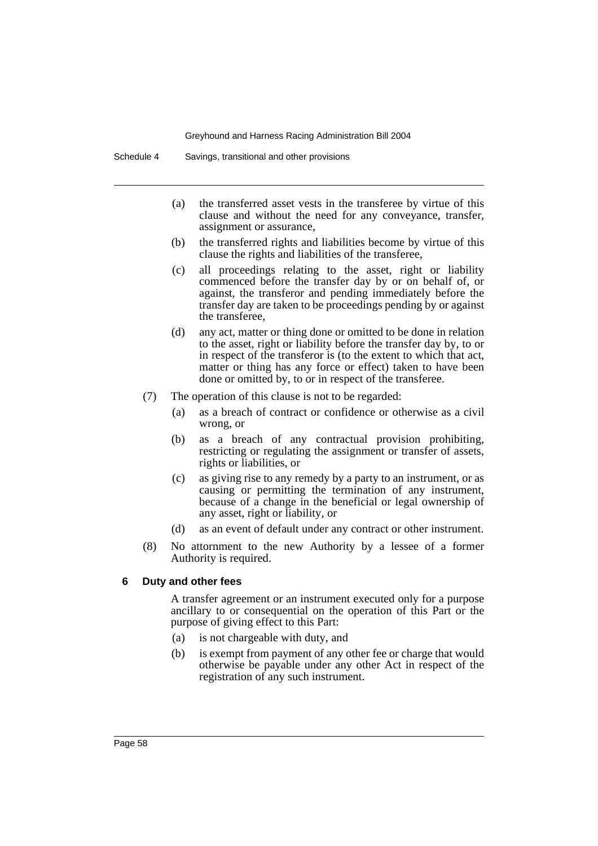- (a) the transferred asset vests in the transferee by virtue of this clause and without the need for any conveyance, transfer, assignment or assurance,
- (b) the transferred rights and liabilities become by virtue of this clause the rights and liabilities of the transferee,
- (c) all proceedings relating to the asset, right or liability commenced before the transfer day by or on behalf of, or against, the transferor and pending immediately before the transfer day are taken to be proceedings pending by or against the transferee,
- (d) any act, matter or thing done or omitted to be done in relation to the asset, right or liability before the transfer day by, to or in respect of the transferor is (to the extent to which that act, matter or thing has any force or effect) taken to have been done or omitted by, to or in respect of the transferee.
- (7) The operation of this clause is not to be regarded:
	- (a) as a breach of contract or confidence or otherwise as a civil wrong, or
	- (b) as a breach of any contractual provision prohibiting, restricting or regulating the assignment or transfer of assets, rights or liabilities, or
	- (c) as giving rise to any remedy by a party to an instrument, or as causing or permitting the termination of any instrument, because of a change in the beneficial or legal ownership of any asset, right or liability, or
	- (d) as an event of default under any contract or other instrument.
- (8) No attornment to the new Authority by a lessee of a former Authority is required.

#### **6 Duty and other fees**

A transfer agreement or an instrument executed only for a purpose ancillary to or consequential on the operation of this Part or the purpose of giving effect to this Part:

- (a) is not chargeable with duty, and
- (b) is exempt from payment of any other fee or charge that would otherwise be payable under any other Act in respect of the registration of any such instrument.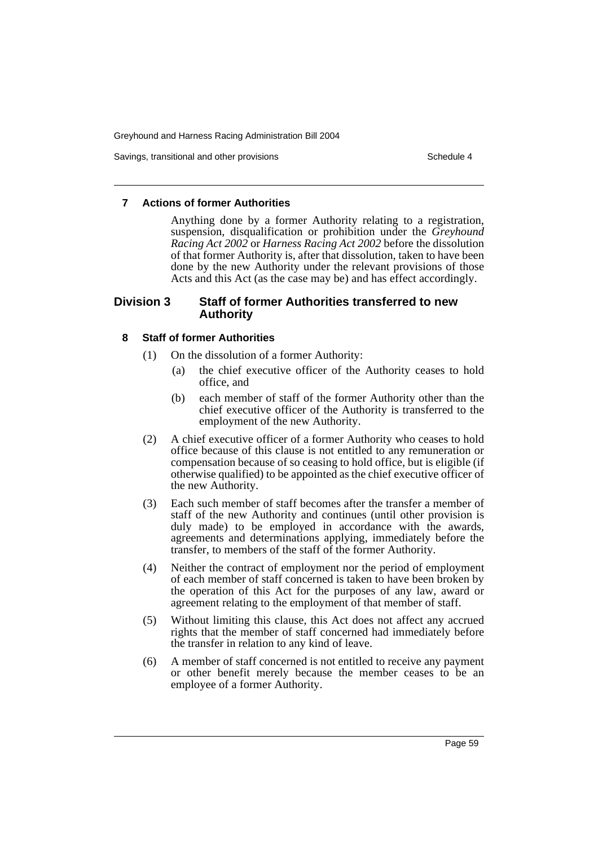Savings, transitional and other provisions Schedule 4 and the state of the Schedule 4

### **7 Actions of former Authorities**

Anything done by a former Authority relating to a registration, suspension, disqualification or prohibition under the *Greyhound Racing Act 2002* or *Harness Racing Act 2002* before the dissolution of that former Authority is, after that dissolution, taken to have been done by the new Authority under the relevant provisions of those Acts and this Act (as the case may be) and has effect accordingly.

### **Division 3 Staff of former Authorities transferred to new Authority**

### **8 Staff of former Authorities**

- (1) On the dissolution of a former Authority:
	- (a) the chief executive officer of the Authority ceases to hold office, and
	- (b) each member of staff of the former Authority other than the chief executive officer of the Authority is transferred to the employment of the new Authority.
- (2) A chief executive officer of a former Authority who ceases to hold office because of this clause is not entitled to any remuneration or compensation because of so ceasing to hold office, but is eligible (if otherwise qualified) to be appointed as the chief executive officer of the new Authority.
- (3) Each such member of staff becomes after the transfer a member of staff of the new Authority and continues (until other provision is duly made) to be employed in accordance with the awards, agreements and determinations applying, immediately before the transfer, to members of the staff of the former Authority.
- (4) Neither the contract of employment nor the period of employment of each member of staff concerned is taken to have been broken by the operation of this Act for the purposes of any law, award or agreement relating to the employment of that member of staff.
- (5) Without limiting this clause, this Act does not affect any accrued rights that the member of staff concerned had immediately before the transfer in relation to any kind of leave.
- (6) A member of staff concerned is not entitled to receive any payment or other benefit merely because the member ceases to be an employee of a former Authority.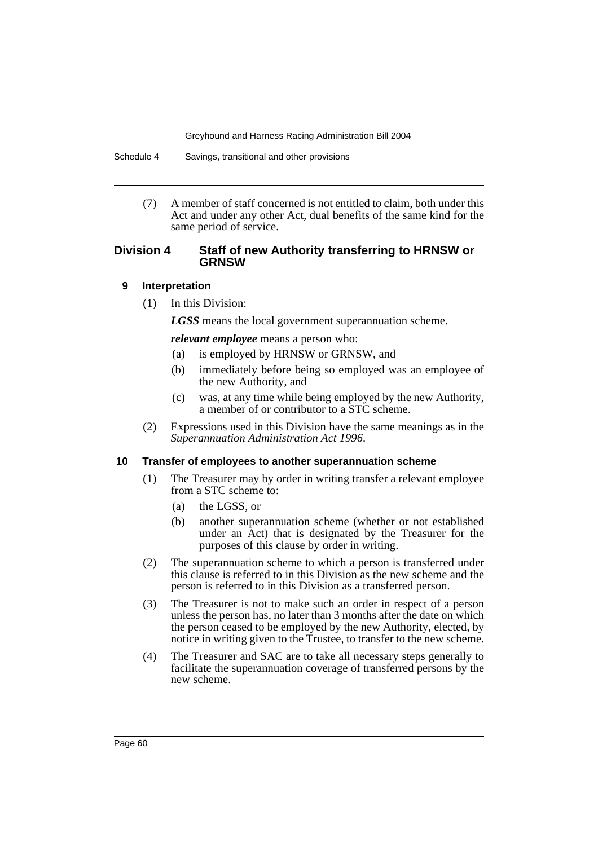Schedule 4 Savings, transitional and other provisions

(7) A member of staff concerned is not entitled to claim, both under this Act and under any other Act, dual benefits of the same kind for the same period of service.

### **Division 4 Staff of new Authority transferring to HRNSW or GRNSW**

### **9 Interpretation**

(1) In this Division:

*LGSS* means the local government superannuation scheme.

*relevant employee* means a person who:

- (a) is employed by HRNSW or GRNSW, and
- (b) immediately before being so employed was an employee of the new Authority, and
- (c) was, at any time while being employed by the new Authority, a member of or contributor to a STC scheme.
- (2) Expressions used in this Division have the same meanings as in the *Superannuation Administration Act 1996*.

### **10 Transfer of employees to another superannuation scheme**

- (1) The Treasurer may by order in writing transfer a relevant employee from a STC scheme to:
	- (a) the LGSS, or
	- (b) another superannuation scheme (whether or not established under an Act) that is designated by the Treasurer for the purposes of this clause by order in writing.
- (2) The superannuation scheme to which a person is transferred under this clause is referred to in this Division as the new scheme and the person is referred to in this Division as a transferred person.
- (3) The Treasurer is not to make such an order in respect of a person unless the person has, no later than 3 months after the date on which the person ceased to be employed by the new Authority, elected, by notice in writing given to the Trustee, to transfer to the new scheme.
- (4) The Treasurer and SAC are to take all necessary steps generally to facilitate the superannuation coverage of transferred persons by the new scheme.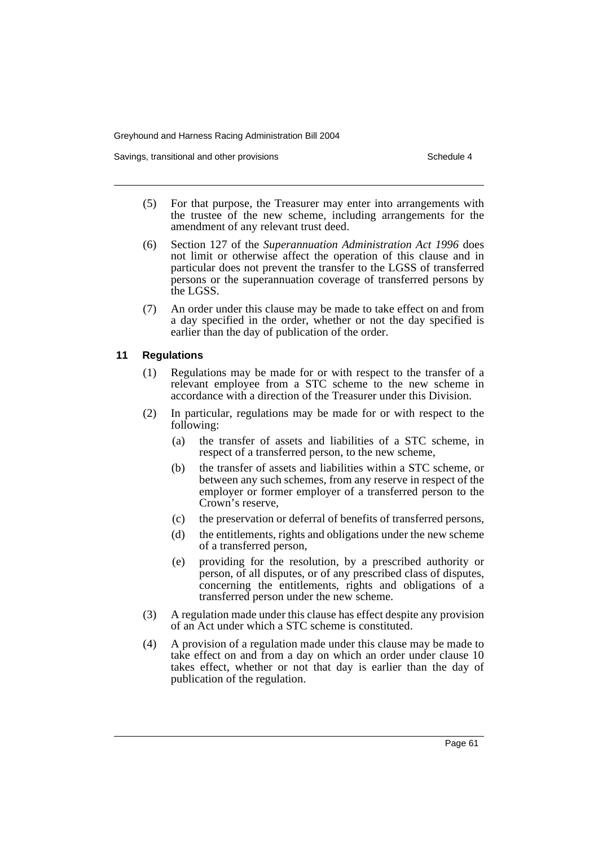Savings, transitional and other provisions Schedule 4 and the schedule 4 series Schedule 4

- (5) For that purpose, the Treasurer may enter into arrangements with the trustee of the new scheme, including arrangements for the amendment of any relevant trust deed.
- (6) Section 127 of the *Superannuation Administration Act 1996* does not limit or otherwise affect the operation of this clause and in particular does not prevent the transfer to the LGSS of transferred persons or the superannuation coverage of transferred persons by the LGSS.
- (7) An order under this clause may be made to take effect on and from a day specified in the order, whether or not the day specified is earlier than the day of publication of the order.

### **11 Regulations**

- (1) Regulations may be made for or with respect to the transfer of a relevant employee from a STC scheme to the new scheme in accordance with a direction of the Treasurer under this Division.
- (2) In particular, regulations may be made for or with respect to the following:
	- (a) the transfer of assets and liabilities of a STC scheme, in respect of a transferred person, to the new scheme,
	- (b) the transfer of assets and liabilities within a STC scheme, or between any such schemes, from any reserve in respect of the employer or former employer of a transferred person to the Crown's reserve,
	- (c) the preservation or deferral of benefits of transferred persons,
	- (d) the entitlements, rights and obligations under the new scheme of a transferred person,
	- (e) providing for the resolution, by a prescribed authority or person, of all disputes, or of any prescribed class of disputes, concerning the entitlements, rights and obligations of a transferred person under the new scheme.
- (3) A regulation made under this clause has effect despite any provision of an Act under which a STC scheme is constituted.
- (4) A provision of a regulation made under this clause may be made to take effect on and from a day on which an order under clause 10 takes effect, whether or not that day is earlier than the day of publication of the regulation.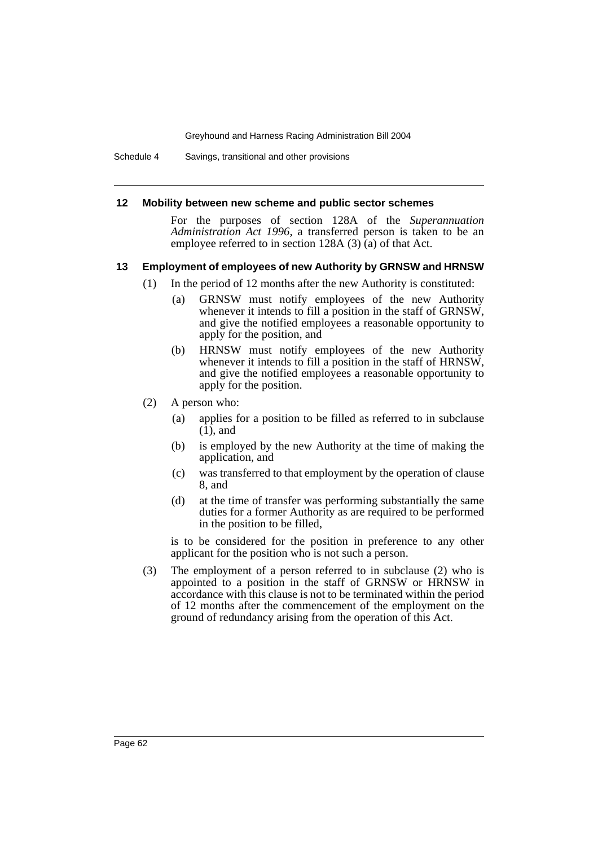Schedule 4 Savings, transitional and other provisions

#### **12 Mobility between new scheme and public sector schemes**

For the purposes of section 128A of the *Superannuation Administration Act 1996*, a transferred person is taken to be an employee referred to in section 128A (3) $\bar{a}$ ) of that Act.

#### **13 Employment of employees of new Authority by GRNSW and HRNSW**

- (1) In the period of 12 months after the new Authority is constituted:
	- (a) GRNSW must notify employees of the new Authority whenever it intends to fill a position in the staff of GRNSW, and give the notified employees a reasonable opportunity to apply for the position, and
	- (b) HRNSW must notify employees of the new Authority whenever it intends to fill a position in the staff of HRNSW, and give the notified employees a reasonable opportunity to apply for the position.
- (2) A person who:
	- (a) applies for a position to be filled as referred to in subclause  $(\overline{1})$ , and
	- (b) is employed by the new Authority at the time of making the application, and
	- (c) was transferred to that employment by the operation of clause 8, and
	- (d) at the time of transfer was performing substantially the same duties for a former Authority as are required to be performed in the position to be filled,

is to be considered for the position in preference to any other applicant for the position who is not such a person.

(3) The employment of a person referred to in subclause (2) who is appointed to a position in the staff of GRNSW or HRNSW in accordance with this clause is not to be terminated within the period of 12 months after the commencement of the employment on the ground of redundancy arising from the operation of this Act.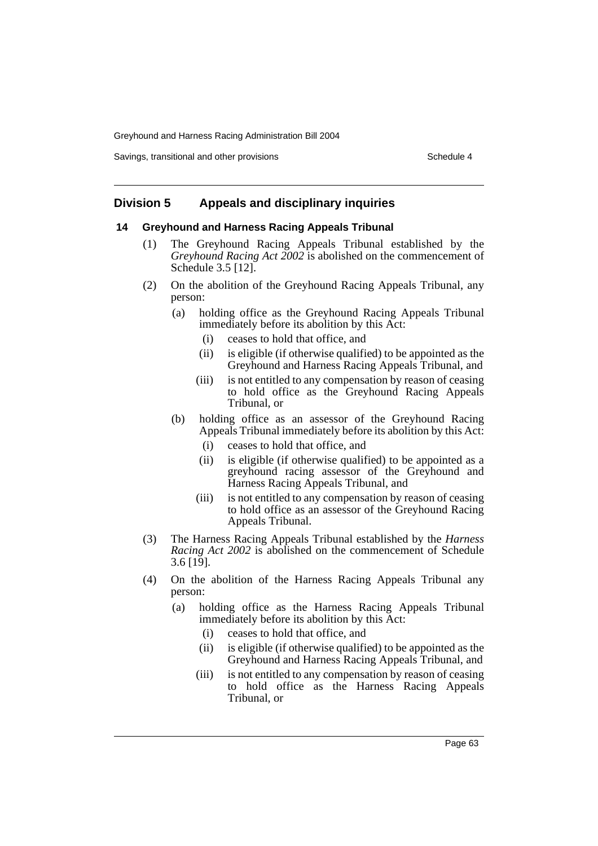Savings, transitional and other provisions Schedule 4 and the schedule 4 series Schedule 4

### **Division 5 Appeals and disciplinary inquiries**

### **14 Greyhound and Harness Racing Appeals Tribunal**

- (1) The Greyhound Racing Appeals Tribunal established by the *Greyhound Racing Act 2002* is abolished on the commencement of Schedule 3.5 [12].
- (2) On the abolition of the Greyhound Racing Appeals Tribunal, any person:
	- (a) holding office as the Greyhound Racing Appeals Tribunal immediately before its abolition by this Act:
		- (i) ceases to hold that office, and
		- (ii) is eligible (if otherwise qualified) to be appointed as the Greyhound and Harness Racing Appeals Tribunal, and
		- (iii) is not entitled to any compensation by reason of ceasing to hold office as the Greyhound Racing Appeals Tribunal, or
	- (b) holding office as an assessor of the Greyhound Racing Appeals Tribunal immediately before its abolition by this Act:
		- (i) ceases to hold that office, and
		- (ii) is eligible (if otherwise qualified) to be appointed as a greyhound racing assessor of the Greyhound and Harness Racing Appeals Tribunal, and
		- (iii) is not entitled to any compensation by reason of ceasing to hold office as an assessor of the Greyhound Racing Appeals Tribunal.
- (3) The Harness Racing Appeals Tribunal established by the *Harness Racing Act 2002* is abolished on the commencement of Schedule 3.6 [19].
- (4) On the abolition of the Harness Racing Appeals Tribunal any person:
	- (a) holding office as the Harness Racing Appeals Tribunal immediately before its abolition by this Act:
		- (i) ceases to hold that office, and
		- (ii) is eligible (if otherwise qualified) to be appointed as the Greyhound and Harness Racing Appeals Tribunal, and
		- (iii) is not entitled to any compensation by reason of ceasing to hold office as the Harness Racing Appeals Tribunal, or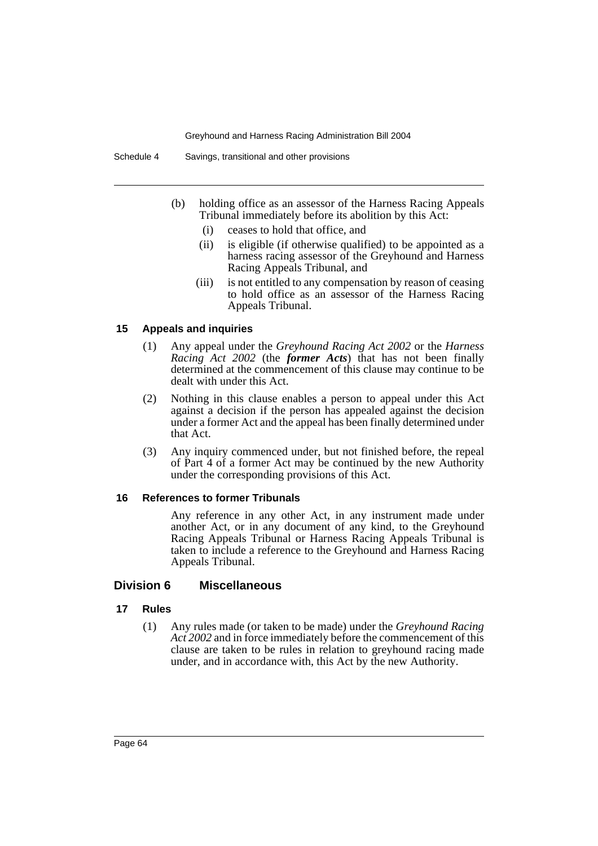- (b) holding office as an assessor of the Harness Racing Appeals Tribunal immediately before its abolition by this Act:
	- (i) ceases to hold that office, and
	- (ii) is eligible (if otherwise qualified) to be appointed as a harness racing assessor of the Greyhound and Harness Racing Appeals Tribunal, and
	- (iii) is not entitled to any compensation by reason of ceasing to hold office as an assessor of the Harness Racing Appeals Tribunal.

#### **15 Appeals and inquiries**

- (1) Any appeal under the *Greyhound Racing Act 2002* or the *Harness Racing Act 2002* (the *former Acts*) that has not been finally determined at the commencement of this clause may continue to be dealt with under this Act.
- (2) Nothing in this clause enables a person to appeal under this Act against a decision if the person has appealed against the decision under a former Act and the appeal has been finally determined under that Act.
- (3) Any inquiry commenced under, but not finished before, the repeal of Part 4 of a former Act may be continued by the new Authority under the corresponding provisions of this Act.

#### **16 References to former Tribunals**

Any reference in any other Act, in any instrument made under another Act, or in any document of any kind, to the Greyhound Racing Appeals Tribunal or Harness Racing Appeals Tribunal is taken to include a reference to the Greyhound and Harness Racing Appeals Tribunal.

#### **Division 6 Miscellaneous**

#### **17 Rules**

(1) Any rules made (or taken to be made) under the *Greyhound Racing Act 2002* and in force immediately before the commencement of this clause are taken to be rules in relation to greyhound racing made under, and in accordance with, this Act by the new Authority.